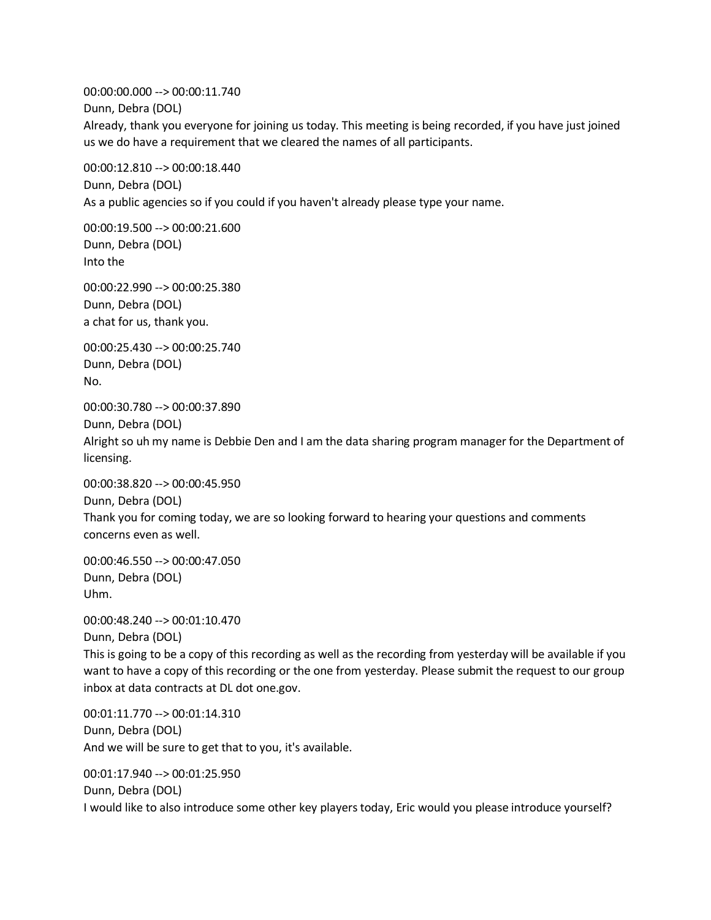00:00:00.000 --> 00:00:11.740 Dunn, Debra (DOL) Already, thank you everyone for joining us today. This meeting is being recorded, if you have just joined us we do have a requirement that we cleared the names of all participants. 00:00:12.810 --> 00:00:18.440

Dunn, Debra (DOL) As a public agencies so if you could if you haven't already please type your name.

00:00:19.500 --> 00:00:21.600 Dunn, Debra (DOL) Into the

00:00:22.990 --> 00:00:25.380 Dunn, Debra (DOL) a chat for us, thank you.

00:00:25.430 --> 00:00:25.740 Dunn, Debra (DOL) No.

00:00:30.780 --> 00:00:37.890

Dunn, Debra (DOL)

Alright so uh my name is Debbie Den and I am the data sharing program manager for the Department of licensing.

00:00:38.820 --> 00:00:45.950 Dunn, Debra (DOL) Thank you for coming today, we are so looking forward to hearing your questions and comments concerns even as well.

00:00:46.550 --> 00:00:47.050 Dunn, Debra (DOL) Uhm.

00:00:48.240 --> 00:01:10.470 Dunn, Debra (DOL) This is going to be a copy of this recording as well as the recording from yesterday will be available if you want to have a copy of this recording or the one from yesterday. Please submit the request to our group inbox at data contracts at DL dot one.gov.

00:01:11.770 --> 00:01:14.310 Dunn, Debra (DOL) And we will be sure to get that to you, it's available.

00:01:17.940 --> 00:01:25.950 Dunn, Debra (DOL) I would like to also introduce some other key players today, Eric would you please introduce yourself?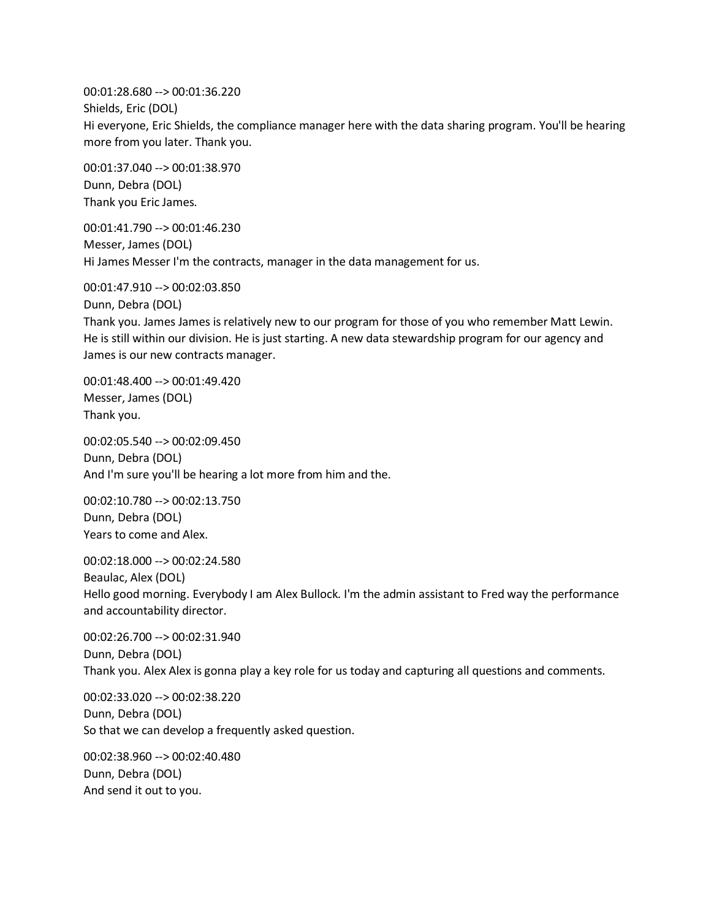00:01:28.680 --> 00:01:36.220 Shields, Eric (DOL) Hi everyone, Eric Shields, the compliance manager here with the data sharing program. You'll be hearing more from you later. Thank you.

00:01:37.040 --> 00:01:38.970 Dunn, Debra (DOL) Thank you Eric James.

00:01:41.790 --> 00:01:46.230 Messer, James (DOL) Hi James Messer I'm the contracts, manager in the data management for us.

00:01:47.910 --> 00:02:03.850 Dunn, Debra (DOL)

Thank you. James James is relatively new to our program for those of you who remember Matt Lewin. He is still within our division. He is just starting. A new data stewardship program for our agency and James is our new contracts manager.

00:01:48.400 --> 00:01:49.420 Messer, James (DOL) Thank you.

00:02:05.540 --> 00:02:09.450 Dunn, Debra (DOL) And I'm sure you'll be hearing a lot more from him and the.

00:02:10.780 --> 00:02:13.750 Dunn, Debra (DOL) Years to come and Alex.

00:02:18.000 --> 00:02:24.580 Beaulac, Alex (DOL) Hello good morning. Everybody I am Alex Bullock. I'm the admin assistant to Fred way the performance and accountability director.

00:02:26.700 --> 00:02:31.940 Dunn, Debra (DOL) Thank you. Alex Alex is gonna play a key role for us today and capturing all questions and comments.

00:02:33.020 --> 00:02:38.220 Dunn, Debra (DOL) So that we can develop a frequently asked question.

00:02:38.960 --> 00:02:40.480 Dunn, Debra (DOL) And send it out to you.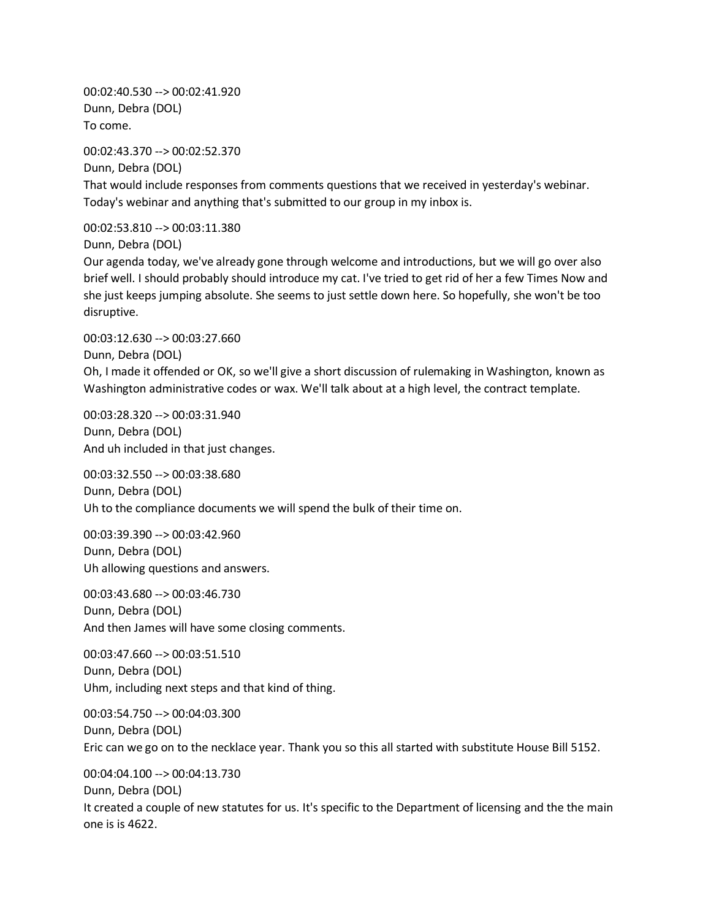00:02:40.530 --> 00:02:41.920 Dunn, Debra (DOL) To come.

00:02:43.370 --> 00:02:52.370

Dunn, Debra (DOL) That would include responses from comments questions that we received in yesterday's webinar. Today's webinar and anything that's submitted to our group in my inbox is.

00:02:53.810 --> 00:03:11.380

Dunn, Debra (DOL)

Our agenda today, we've already gone through welcome and introductions, but we will go over also brief well. I should probably should introduce my cat. I've tried to get rid of her a few Times Now and she just keeps jumping absolute. She seems to just settle down here. So hopefully, she won't be too disruptive.

00:03:12.630 --> 00:03:27.660 Dunn, Debra (DOL) Oh, I made it offended or OK, so we'll give a short discussion of rulemaking in Washington, known as Washington administrative codes or wax. We'll talk about at a high level, the contract template.

00:03:28.320 --> 00:03:31.940 Dunn, Debra (DOL) And uh included in that just changes.

00:03:32.550 --> 00:03:38.680 Dunn, Debra (DOL) Uh to the compliance documents we will spend the bulk of their time on.

00:03:39.390 --> 00:03:42.960 Dunn, Debra (DOL) Uh allowing questions and answers.

00:03:43.680 --> 00:03:46.730 Dunn, Debra (DOL) And then James will have some closing comments.

00:03:47.660 --> 00:03:51.510 Dunn, Debra (DOL) Uhm, including next steps and that kind of thing.

00:03:54.750 --> 00:04:03.300 Dunn, Debra (DOL) Eric can we go on to the necklace year. Thank you so this all started with substitute House Bill 5152.

00:04:04.100 --> 00:04:13.730 Dunn, Debra (DOL) It created a couple of new statutes for us. It's specific to the Department of licensing and the the main one is is 4622.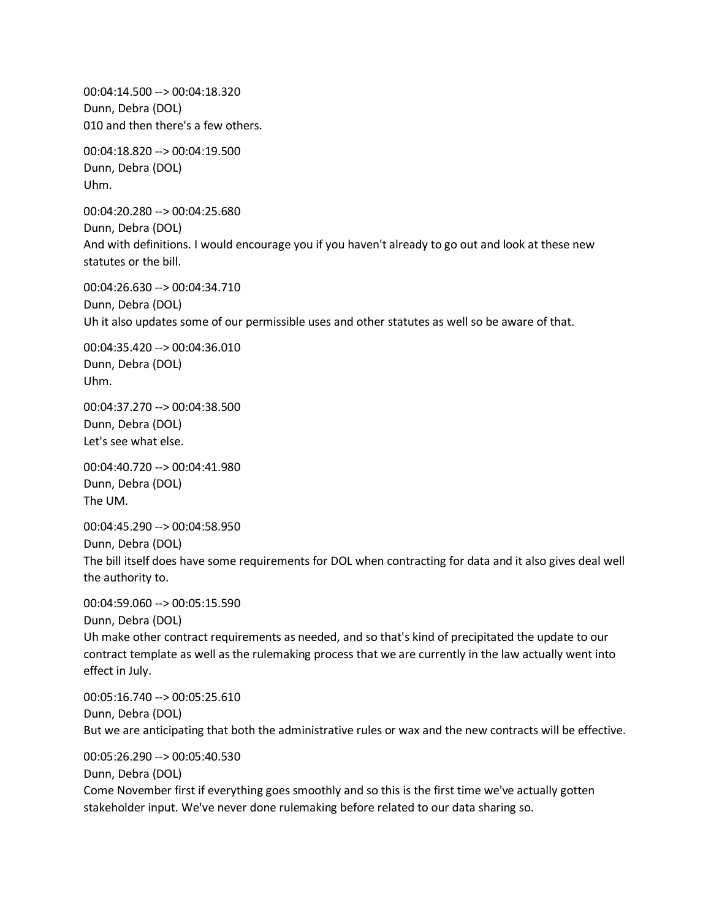00:04:14.500 --> 00:04:18.320 Dunn, Debra (DOL) 010 and then there's a few others.

00:04:18.820 --> 00:04:19.500 Dunn, Debra (DOL) Uhm.

00:04:20.280 --> 00:04:25.680 Dunn, Debra (DOL) And with definitions. I would encourage you if you haven't already to go out and look at these new statutes or the bill.

00:04:26.630 --> 00:04:34.710 Dunn, Debra (DOL) Uh it also updates some of our permissible uses and other statutes as well so be aware of that.

00:04:35.420 --> 00:04:36.010 Dunn, Debra (DOL) Uhm.

00:04:37.270 --> 00:04:38.500 Dunn, Debra (DOL) Let's see what else.

00:04:40.720 --> 00:04:41.980 Dunn, Debra (DOL) The UM.

00:04:45.290 --> 00:04:58.950

Dunn, Debra (DOL)

The bill itself does have some requirements for DOL when contracting for data and it also gives deal well the authority to.

00:04:59.060 --> 00:05:15.590

Dunn, Debra (DOL)

Uh make other contract requirements as needed, and so that's kind of precipitated the update to our contract template as well as the rulemaking process that we are currently in the law actually went into effect in July.

00:05:16.740 --> 00:05:25.610 Dunn, Debra (DOL) But we are anticipating that both the administrative rules or wax and the new contracts will be effective.

00:05:26.290 --> 00:05:40.530 Dunn, Debra (DOL) Come November first if everything goes smoothly and so this is the first time we've actually gotten stakeholder input. We've never done rulemaking before related to our data sharing so.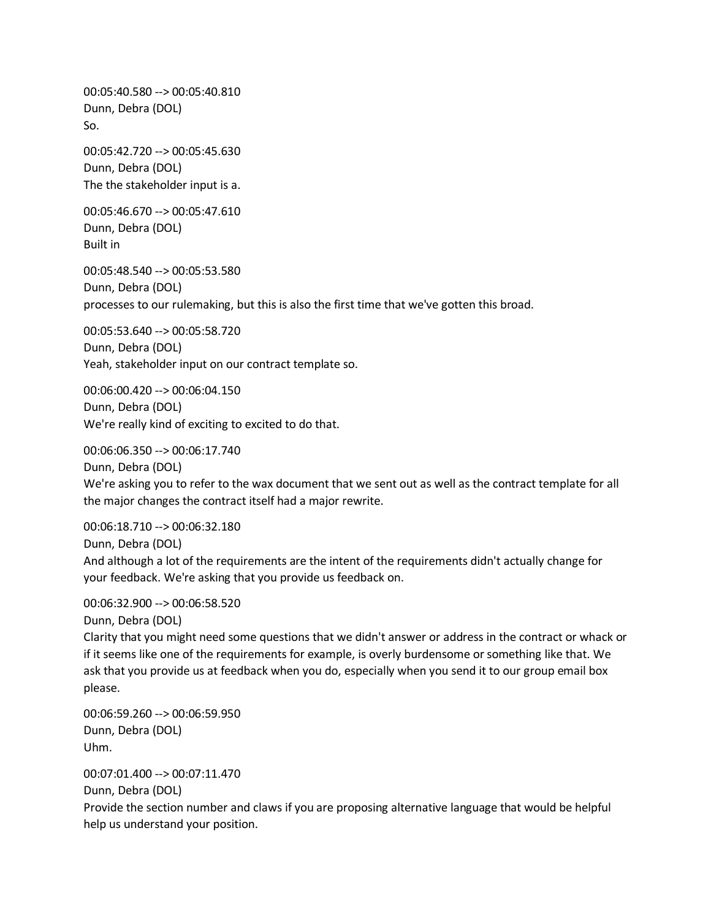00:05:40.580 --> 00:05:40.810 Dunn, Debra (DOL) So.

00:05:42.720 --> 00:05:45.630 Dunn, Debra (DOL) The the stakeholder input is a.

00:05:46.670 --> 00:05:47.610 Dunn, Debra (DOL) Built in

00:05:48.540 --> 00:05:53.580 Dunn, Debra (DOL) processes to our rulemaking, but this is also the first time that we've gotten this broad.

00:05:53.640 --> 00:05:58.720 Dunn, Debra (DOL) Yeah, stakeholder input on our contract template so.

00:06:00.420 --> 00:06:04.150 Dunn, Debra (DOL) We're really kind of exciting to excited to do that.

00:06:06.350 --> 00:06:17.740 Dunn, Debra (DOL) We're asking you to refer to the wax document that we sent out as well as the contract template for all the major changes the contract itself had a major rewrite.

00:06:18.710 --> 00:06:32.180 Dunn, Debra (DOL) And although a lot of the requirements are the intent of the requirements didn't actually change for your feedback. We're asking that you provide us feedback on.

00:06:32.900 --> 00:06:58.520

Dunn, Debra (DOL)

Clarity that you might need some questions that we didn't answer or address in the contract or whack or if it seems like one of the requirements for example, is overly burdensome or something like that. We ask that you provide us at feedback when you do, especially when you send it to our group email box please.

00:06:59.260 --> 00:06:59.950 Dunn, Debra (DOL) Uhm.

00:07:01.400 --> 00:07:11.470

Dunn, Debra (DOL)

Provide the section number and claws if you are proposing alternative language that would be helpful help us understand your position.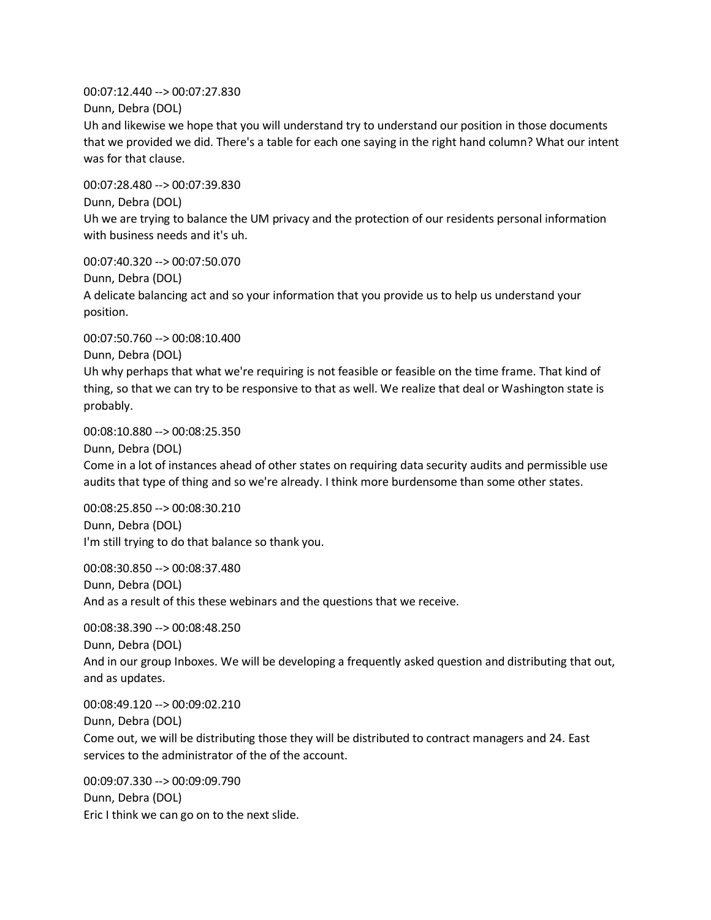00:07:12.440 --> 00:07:27.830

Dunn, Debra (DOL)

Uh and likewise we hope that you will understand try to understand our position in those documents that we provided we did. There's a table for each one saying in the right hand column? What our intent was for that clause.

00:07:28.480 --> 00:07:39.830 Dunn, Debra (DOL) Uh we are trying to balance the UM privacy and the protection of our residents personal information with business needs and it's uh.

00:07:40.320 --> 00:07:50.070 Dunn, Debra (DOL) A delicate balancing act and so your information that you provide us to help us understand your position.

00:07:50.760 --> 00:08:10.400 Dunn, Debra (DOL)

Uh why perhaps that what we're requiring is not feasible or feasible on the time frame. That kind of thing, so that we can try to be responsive to that as well. We realize that deal or Washington state is probably.

00:08:10.880 --> 00:08:25.350

Dunn, Debra (DOL)

Come in a lot of instances ahead of other states on requiring data security audits and permissible use audits that type of thing and so we're already. I think more burdensome than some other states.

00:08:25.850 --> 00:08:30.210 Dunn, Debra (DOL) I'm still trying to do that balance so thank you.

00:08:30.850 --> 00:08:37.480 Dunn, Debra (DOL) And as a result of this these webinars and the questions that we receive.

00:08:38.390 --> 00:08:48.250 Dunn, Debra (DOL) And in our group Inboxes. We will be developing a frequently asked question and distributing that out, and as updates.

00:08:49.120 --> 00:09:02.210 Dunn, Debra (DOL) Come out, we will be distributing those they will be distributed to contract managers and 24. East services to the administrator of the of the account.

00:09:07.330 --> 00:09:09.790 Dunn, Debra (DOL) Eric I think we can go on to the next slide.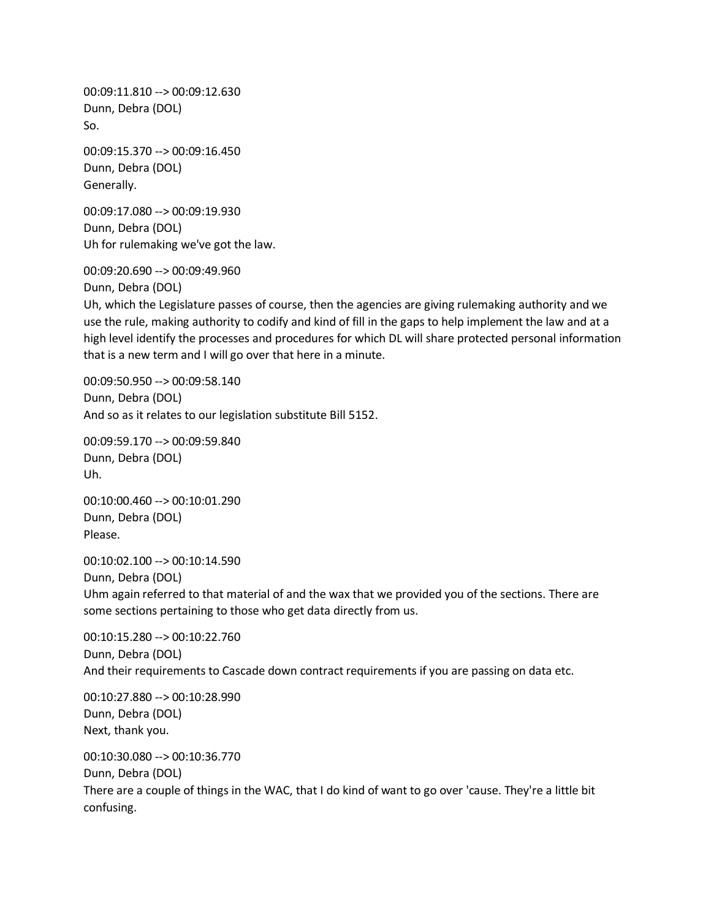00:09:11.810 --> 00:09:12.630 Dunn, Debra (DOL) So.

00:09:15.370 --> 00:09:16.450 Dunn, Debra (DOL) Generally.

00:09:17.080 --> 00:09:19.930 Dunn, Debra (DOL) Uh for rulemaking we've got the law.

00:09:20.690 --> 00:09:49.960

Dunn, Debra (DOL)

Uh, which the Legislature passes of course, then the agencies are giving rulemaking authority and we use the rule, making authority to codify and kind of fill in the gaps to help implement the law and at a high level identify the processes and procedures for which DL will share protected personal information that is a new term and I will go over that here in a minute.

00:09:50.950 --> 00:09:58.140 Dunn, Debra (DOL) And so as it relates to our legislation substitute Bill 5152.

00:09:59.170 --> 00:09:59.840 Dunn, Debra (DOL) Uh.

00:10:00.460 --> 00:10:01.290 Dunn, Debra (DOL) Please.

00:10:02.100 --> 00:10:14.590 Dunn, Debra (DOL) Uhm again referred to that material of and the wax that we provided you of the sections. There are some sections pertaining to those who get data directly from us.

00:10:15.280 --> 00:10:22.760 Dunn, Debra (DOL) And their requirements to Cascade down contract requirements if you are passing on data etc.

00:10:27.880 --> 00:10:28.990 Dunn, Debra (DOL) Next, thank you.

00:10:30.080 --> 00:10:36.770 Dunn, Debra (DOL) There are a couple of things in the WAC, that I do kind of want to go over 'cause. They're a little bit confusing.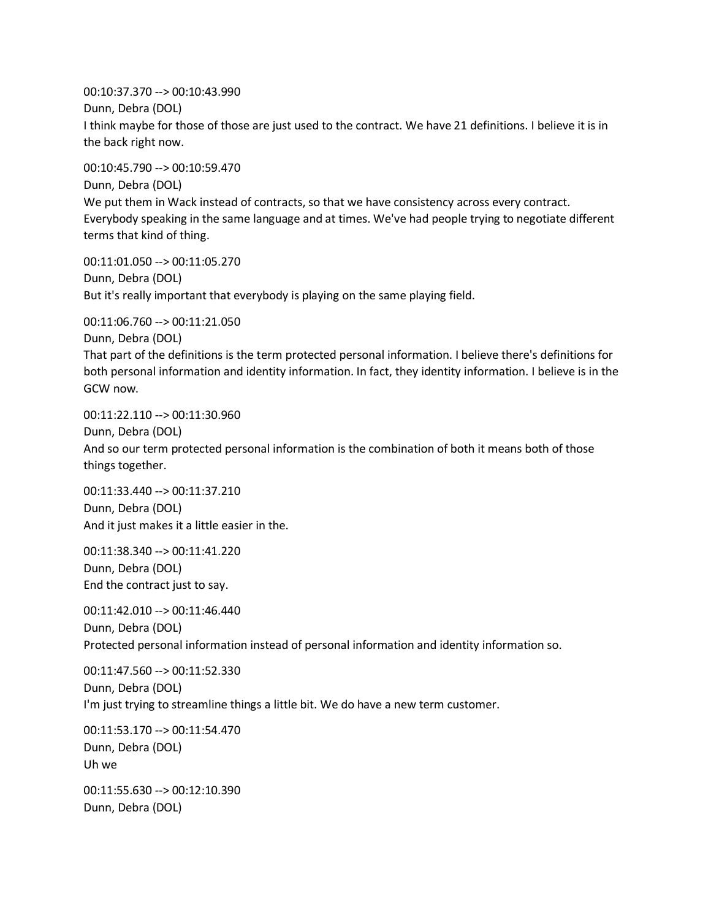00:10:37.370 --> 00:10:43.990 Dunn, Debra (DOL) I think maybe for those of those are just used to the contract. We have 21 definitions. I believe it is in the back right now.

00:10:45.790 --> 00:10:59.470 Dunn, Debra (DOL) We put them in Wack instead of contracts, so that we have consistency across every contract. Everybody speaking in the same language and at times. We've had people trying to negotiate different terms that kind of thing.

00:11:01.050 --> 00:11:05.270 Dunn, Debra (DOL) But it's really important that everybody is playing on the same playing field.

00:11:06.760 --> 00:11:21.050 Dunn, Debra (DOL) That part of the definitions is the term protected personal information. I believe there's definitions for both personal information and identity information. In fact, they identity information. I believe is in the GCW now.

00:11:22.110 --> 00:11:30.960 Dunn, Debra (DOL) And so our term protected personal information is the combination of both it means both of those things together.

00:11:33.440 --> 00:11:37.210 Dunn, Debra (DOL) And it just makes it a little easier in the.

00:11:38.340 --> 00:11:41.220 Dunn, Debra (DOL) End the contract just to say.

00:11:42.010 --> 00:11:46.440 Dunn, Debra (DOL) Protected personal information instead of personal information and identity information so.

00:11:47.560 --> 00:11:52.330 Dunn, Debra (DOL) I'm just trying to streamline things a little bit. We do have a new term customer.

00:11:53.170 --> 00:11:54.470 Dunn, Debra (DOL) Uh we

00:11:55.630 --> 00:12:10.390 Dunn, Debra (DOL)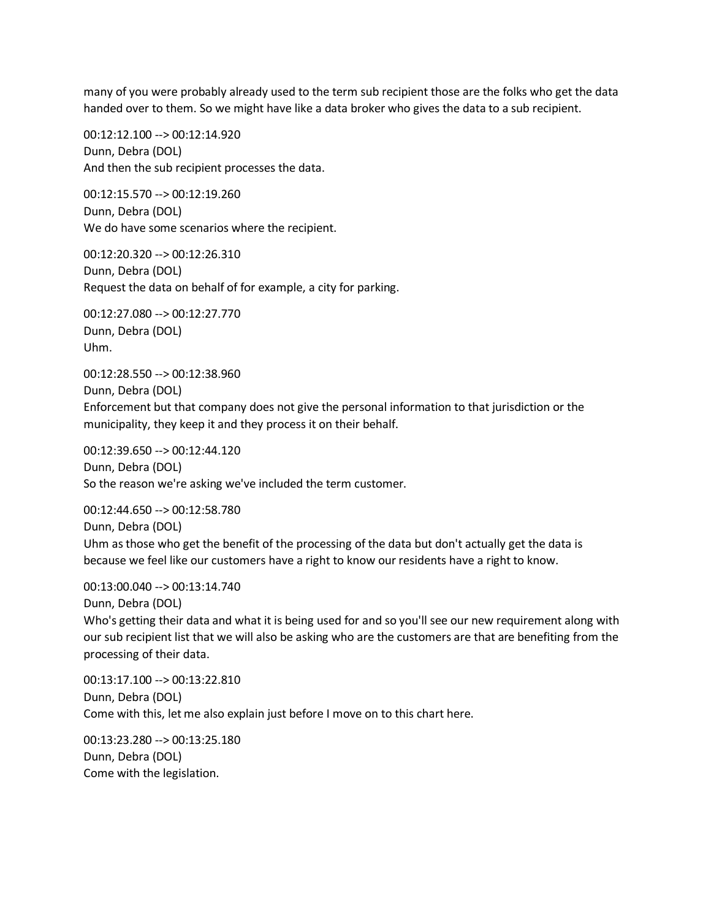many of you were probably already used to the term sub recipient those are the folks who get the data handed over to them. So we might have like a data broker who gives the data to a sub recipient.

00:12:12.100 --> 00:12:14.920 Dunn, Debra (DOL) And then the sub recipient processes the data.

00:12:15.570 --> 00:12:19.260 Dunn, Debra (DOL) We do have some scenarios where the recipient.

00:12:20.320 --> 00:12:26.310 Dunn, Debra (DOL) Request the data on behalf of for example, a city for parking.

00:12:27.080 --> 00:12:27.770 Dunn, Debra (DOL) Uhm.

00:12:28.550 --> 00:12:38.960 Dunn, Debra (DOL) Enforcement but that company does not give the personal information to that jurisdiction or the municipality, they keep it and they process it on their behalf.

00:12:39.650 --> 00:12:44.120 Dunn, Debra (DOL) So the reason we're asking we've included the term customer.

00:12:44.650 --> 00:12:58.780 Dunn, Debra (DOL) Uhm as those who get the benefit of the processing of the data but don't actually get the data is because we feel like our customers have a right to know our residents have a right to know.

00:13:00.040 --> 00:13:14.740 Dunn, Debra (DOL) Who's getting their data and what it is being used for and so you'll see our new requirement along with our sub recipient list that we will also be asking who are the customers are that are benefiting from the processing of their data.

00:13:17.100 --> 00:13:22.810 Dunn, Debra (DOL) Come with this, let me also explain just before I move on to this chart here.

00:13:23.280 --> 00:13:25.180 Dunn, Debra (DOL) Come with the legislation.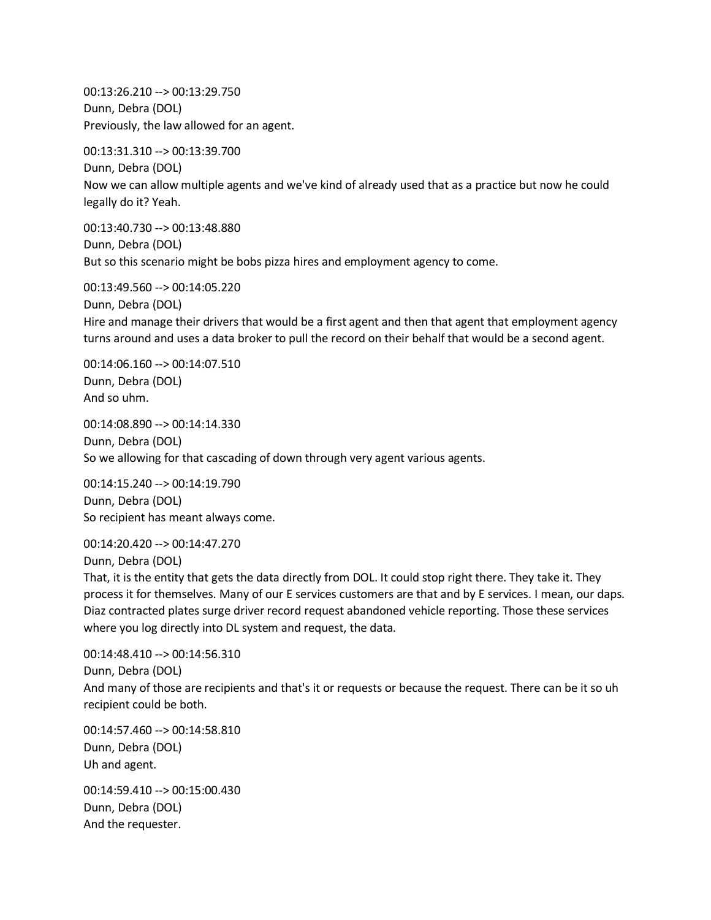00:13:26.210 --> 00:13:29.750 Dunn, Debra (DOL) Previously, the law allowed for an agent.

00:13:31.310 --> 00:13:39.700 Dunn, Debra (DOL) Now we can allow multiple agents and we've kind of already used that as a practice but now he could legally do it? Yeah.

00:13:40.730 --> 00:13:48.880 Dunn, Debra (DOL) But so this scenario might be bobs pizza hires and employment agency to come.

00:13:49.560 --> 00:14:05.220 Dunn, Debra (DOL) Hire and manage their drivers that would be a first agent and then that agent that employment agency turns around and uses a data broker to pull the record on their behalf that would be a second agent.

00:14:06.160 --> 00:14:07.510 Dunn, Debra (DOL) And so uhm.

00:14:08.890 --> 00:14:14.330 Dunn, Debra (DOL) So we allowing for that cascading of down through very agent various agents.

00:14:15.240 --> 00:14:19.790 Dunn, Debra (DOL) So recipient has meant always come.

00:14:20.420 --> 00:14:47.270 Dunn, Debra (DOL)

That, it is the entity that gets the data directly from DOL. It could stop right there. They take it. They process it for themselves. Many of our E services customers are that and by E services. I mean, our daps. Diaz contracted plates surge driver record request abandoned vehicle reporting. Those these services where you log directly into DL system and request, the data.

00:14:48.410 --> 00:14:56.310 Dunn, Debra (DOL) And many of those are recipients and that's it or requests or because the request. There can be it so uh recipient could be both.

00:14:57.460 --> 00:14:58.810 Dunn, Debra (DOL) Uh and agent.

00:14:59.410 --> 00:15:00.430 Dunn, Debra (DOL) And the requester.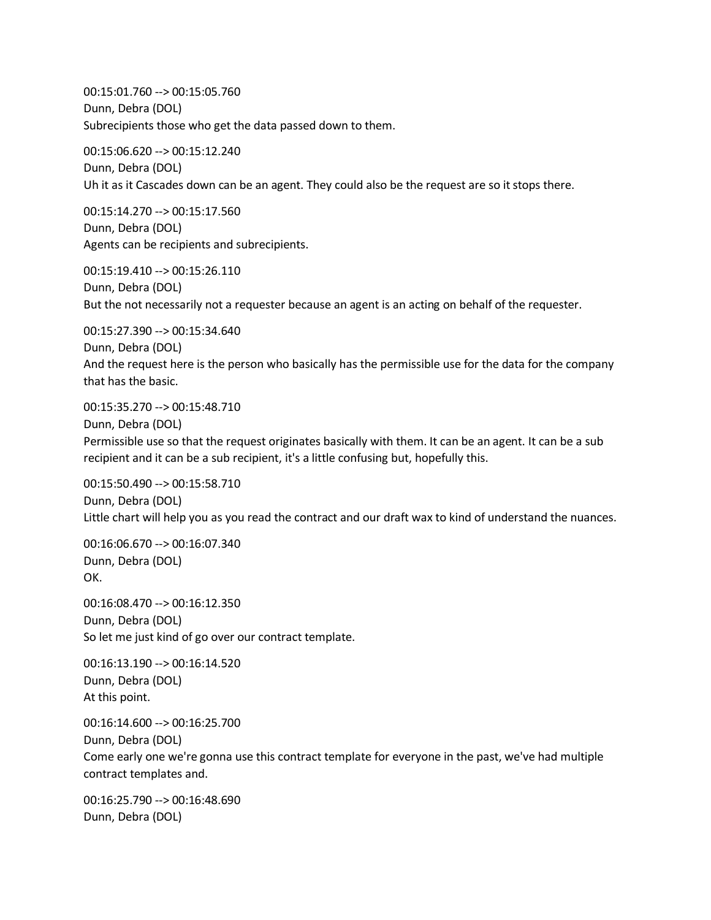00:15:01.760 --> 00:15:05.760 Dunn, Debra (DOL) Subrecipients those who get the data passed down to them.

00:15:06.620 --> 00:15:12.240 Dunn, Debra (DOL) Uh it as it Cascades down can be an agent. They could also be the request are so it stops there.

00:15:14.270 --> 00:15:17.560 Dunn, Debra (DOL) Agents can be recipients and subrecipients.

00:15:19.410 --> 00:15:26.110 Dunn, Debra (DOL) But the not necessarily not a requester because an agent is an acting on behalf of the requester.

00:15:27.390 --> 00:15:34.640 Dunn, Debra (DOL) And the request here is the person who basically has the permissible use for the data for the company that has the basic.

00:15:35.270 --> 00:15:48.710 Dunn, Debra (DOL) Permissible use so that the request originates basically with them. It can be an agent. It can be a sub recipient and it can be a sub recipient, it's a little confusing but, hopefully this.

00:15:50.490 --> 00:15:58.710 Dunn, Debra (DOL) Little chart will help you as you read the contract and our draft wax to kind of understand the nuances.

00:16:06.670 --> 00:16:07.340 Dunn, Debra (DOL) OK.

00:16:08.470 --> 00:16:12.350 Dunn, Debra (DOL) So let me just kind of go over our contract template.

00:16:13.190 --> 00:16:14.520 Dunn, Debra (DOL) At this point.

00:16:14.600 --> 00:16:25.700

Dunn, Debra (DOL)

Come early one we're gonna use this contract template for everyone in the past, we've had multiple contract templates and.

00:16:25.790 --> 00:16:48.690 Dunn, Debra (DOL)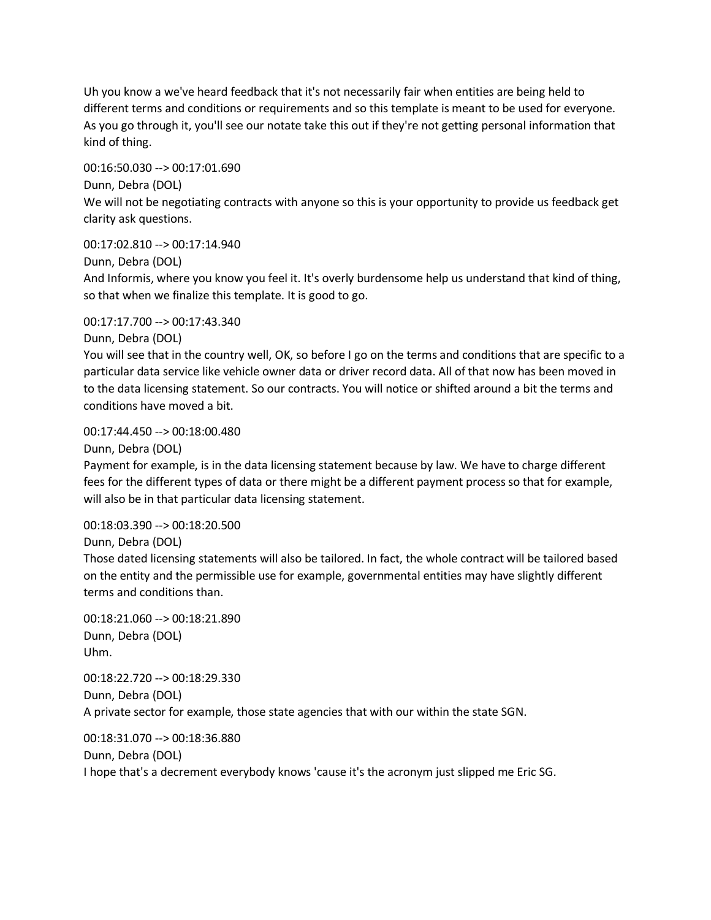Uh you know a we've heard feedback that it's not necessarily fair when entities are being held to different terms and conditions or requirements and so this template is meant to be used for everyone. As you go through it, you'll see our notate take this out if they're not getting personal information that kind of thing.

00:16:50.030 --> 00:17:01.690 Dunn, Debra (DOL) We will not be negotiating contracts with anyone so this is your opportunity to provide us feedback get clarity ask questions.

Dunn, Debra (DOL) And Informis, where you know you feel it. It's overly burdensome help us understand that kind of thing, so that when we finalize this template. It is good to go.

00:17:17.700 --> 00:17:43.340

00:17:02.810 --> 00:17:14.940

Dunn, Debra (DOL)

You will see that in the country well, OK, so before I go on the terms and conditions that are specific to a particular data service like vehicle owner data or driver record data. All of that now has been moved in to the data licensing statement. So our contracts. You will notice or shifted around a bit the terms and conditions have moved a bit.

00:17:44.450 --> 00:18:00.480

Dunn, Debra (DOL)

Payment for example, is in the data licensing statement because by law. We have to charge different fees for the different types of data or there might be a different payment process so that for example, will also be in that particular data licensing statement.

00:18:03.390 --> 00:18:20.500

Dunn, Debra (DOL)

Those dated licensing statements will also be tailored. In fact, the whole contract will be tailored based on the entity and the permissible use for example, governmental entities may have slightly different terms and conditions than.

00:18:21.060 --> 00:18:21.890 Dunn, Debra (DOL) Uhm.

00:18:22.720 --> 00:18:29.330 Dunn, Debra (DOL) A private sector for example, those state agencies that with our within the state SGN.

00:18:31.070 --> 00:18:36.880 Dunn, Debra (DOL) I hope that's a decrement everybody knows 'cause it's the acronym just slipped me Eric SG.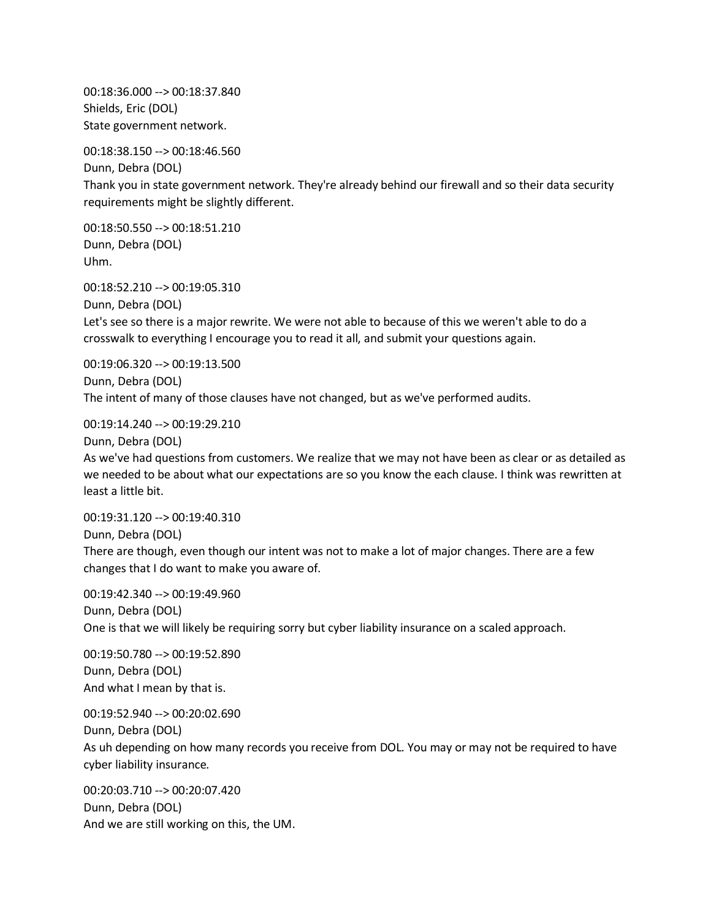00:18:36.000 --> 00:18:37.840 Shields, Eric (DOL) State government network.

00:18:38.150 --> 00:18:46.560

Dunn, Debra (DOL) Thank you in state government network. They're already behind our firewall and so their data security requirements might be slightly different.

00:18:50.550 --> 00:18:51.210 Dunn, Debra (DOL) Uhm.

00:18:52.210 --> 00:19:05.310 Dunn, Debra (DOL) Let's see so there is a major rewrite. We were not able to because of this we weren't able to do a crosswalk to everything I encourage you to read it all, and submit your questions again.

00:19:06.320 --> 00:19:13.500 Dunn, Debra (DOL) The intent of many of those clauses have not changed, but as we've performed audits.

00:19:14.240 --> 00:19:29.210

Dunn, Debra (DOL)

As we've had questions from customers. We realize that we may not have been as clear or as detailed as we needed to be about what our expectations are so you know the each clause. I think was rewritten at least a little bit.

00:19:31.120 --> 00:19:40.310 Dunn, Debra (DOL) There are though, even though our intent was not to make a lot of major changes. There are a few changes that I do want to make you aware of.

00:19:42.340 --> 00:19:49.960 Dunn, Debra (DOL) One is that we will likely be requiring sorry but cyber liability insurance on a scaled approach.

00:19:50.780 --> 00:19:52.890 Dunn, Debra (DOL) And what I mean by that is.

00:19:52.940 --> 00:20:02.690 Dunn, Debra (DOL) As uh depending on how many records you receive from DOL. You may or may not be required to have cyber liability insurance.

00:20:03.710 --> 00:20:07.420 Dunn, Debra (DOL) And we are still working on this, the UM.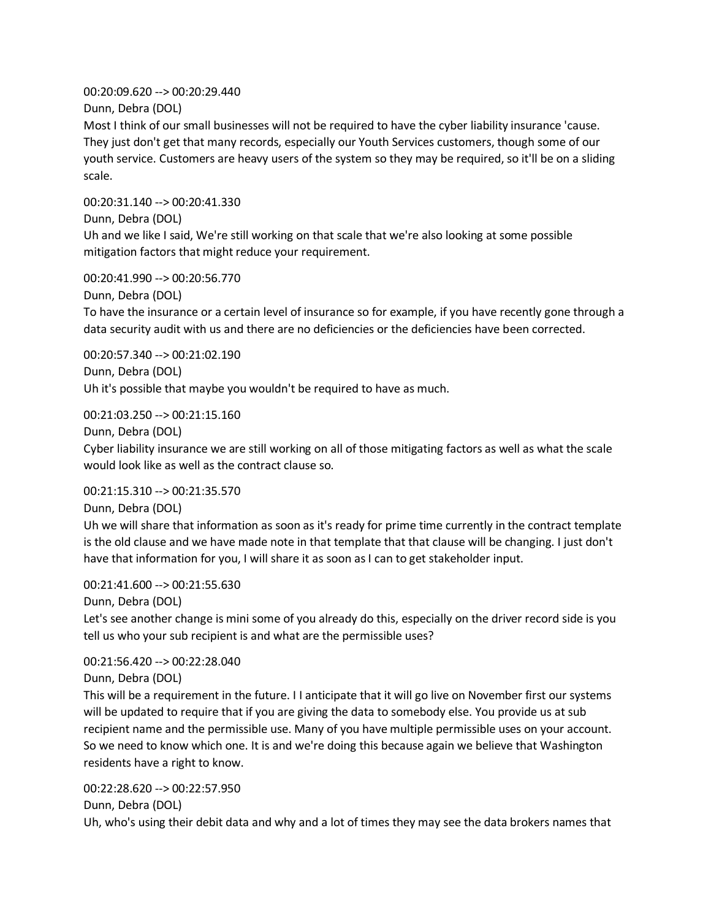00:20:09.620 --> 00:20:29.440 Dunn, Debra (DOL)

Most I think of our small businesses will not be required to have the cyber liability insurance 'cause. They just don't get that many records, especially our Youth Services customers, though some of our youth service. Customers are heavy users of the system so they may be required, so it'll be on a sliding scale.

00:20:31.140 --> 00:20:41.330 Dunn, Debra (DOL) Uh and we like I said, We're still working on that scale that we're also looking at some possible mitigation factors that might reduce your requirement.

00:20:41.990 --> 00:20:56.770

Dunn, Debra (DOL)

To have the insurance or a certain level of insurance so for example, if you have recently gone through a data security audit with us and there are no deficiencies or the deficiencies have been corrected.

00:20:57.340 --> 00:21:02.190 Dunn, Debra (DOL) Uh it's possible that maybe you wouldn't be required to have as much.

00:21:03.250 --> 00:21:15.160

Dunn, Debra (DOL)

Cyber liability insurance we are still working on all of those mitigating factors as well as what the scale would look like as well as the contract clause so.

00:21:15.310 --> 00:21:35.570

Dunn, Debra (DOL)

Uh we will share that information as soon as it's ready for prime time currently in the contract template is the old clause and we have made note in that template that that clause will be changing. I just don't have that information for you, I will share it as soon as I can to get stakeholder input.

00:21:41.600 --> 00:21:55.630

Dunn, Debra (DOL)

Let's see another change is mini some of you already do this, especially on the driver record side is you tell us who your sub recipient is and what are the permissible uses?

00:21:56.420 --> 00:22:28.040

Dunn, Debra (DOL)

This will be a requirement in the future. I I anticipate that it will go live on November first our systems will be updated to require that if you are giving the data to somebody else. You provide us at sub recipient name and the permissible use. Many of you have multiple permissible uses on your account. So we need to know which one. It is and we're doing this because again we believe that Washington residents have a right to know.

00:22:28.620 --> 00:22:57.950

Dunn, Debra (DOL)

Uh, who's using their debit data and why and a lot of times they may see the data brokers names that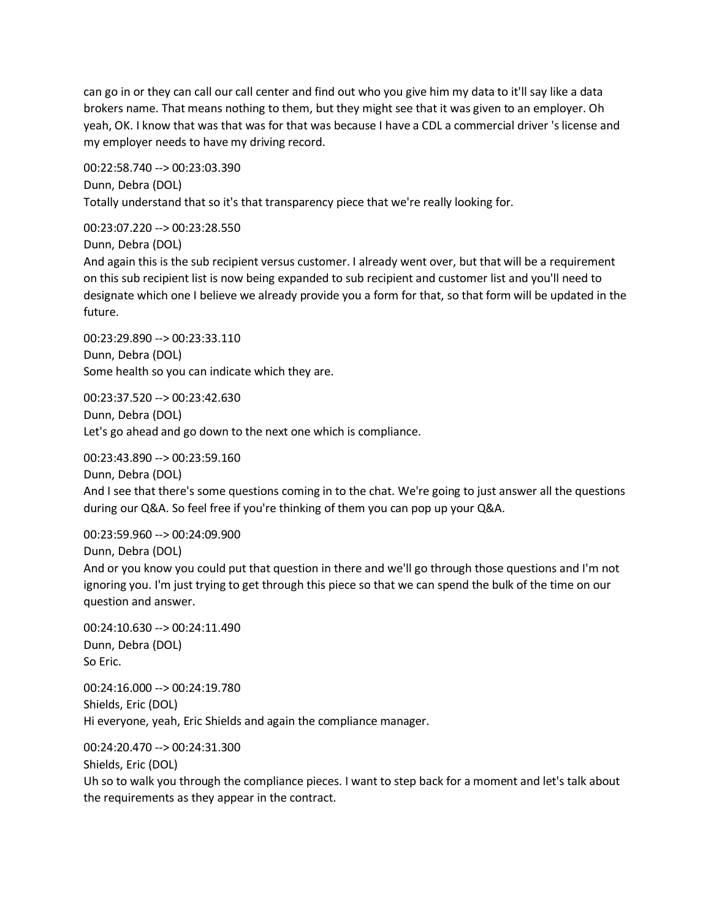can go in or they can call our call center and find out who you give him my data to it'll say like a data brokers name. That means nothing to them, but they might see that it was given to an employer. Oh yeah, OK. I know that was that was for that was because I have a CDL a commercial driver 's license and my employer needs to have my driving record.

00:22:58.740 --> 00:23:03.390 Dunn, Debra (DOL) Totally understand that so it's that transparency piece that we're really looking for.

00:23:07.220 --> 00:23:28.550

Dunn, Debra (DOL)

And again this is the sub recipient versus customer. I already went over, but that will be a requirement on this sub recipient list is now being expanded to sub recipient and customer list and you'll need to designate which one I believe we already provide you a form for that, so that form will be updated in the future.

00:23:29.890 --> 00:23:33.110 Dunn, Debra (DOL) Some health so you can indicate which they are.

00:23:37.520 --> 00:23:42.630 Dunn, Debra (DOL) Let's go ahead and go down to the next one which is compliance.

00:23:43.890 --> 00:23:59.160

Dunn, Debra (DOL) And I see that there's some questions coming in to the chat. We're going to just answer all the questions during our Q&A. So feel free if you're thinking of them you can pop up your Q&A.

00:23:59.960 --> 00:24:09.900

Dunn, Debra (DOL)

And or you know you could put that question in there and we'll go through those questions and I'm not ignoring you. I'm just trying to get through this piece so that we can spend the bulk of the time on our question and answer.

00:24:10.630 --> 00:24:11.490 Dunn, Debra (DOL) So Eric.

00:24:16.000 --> 00:24:19.780 Shields, Eric (DOL) Hi everyone, yeah, Eric Shields and again the compliance manager.

00:24:20.470 --> 00:24:31.300 Shields, Eric (DOL)

Uh so to walk you through the compliance pieces. I want to step back for a moment and let's talk about the requirements as they appear in the contract.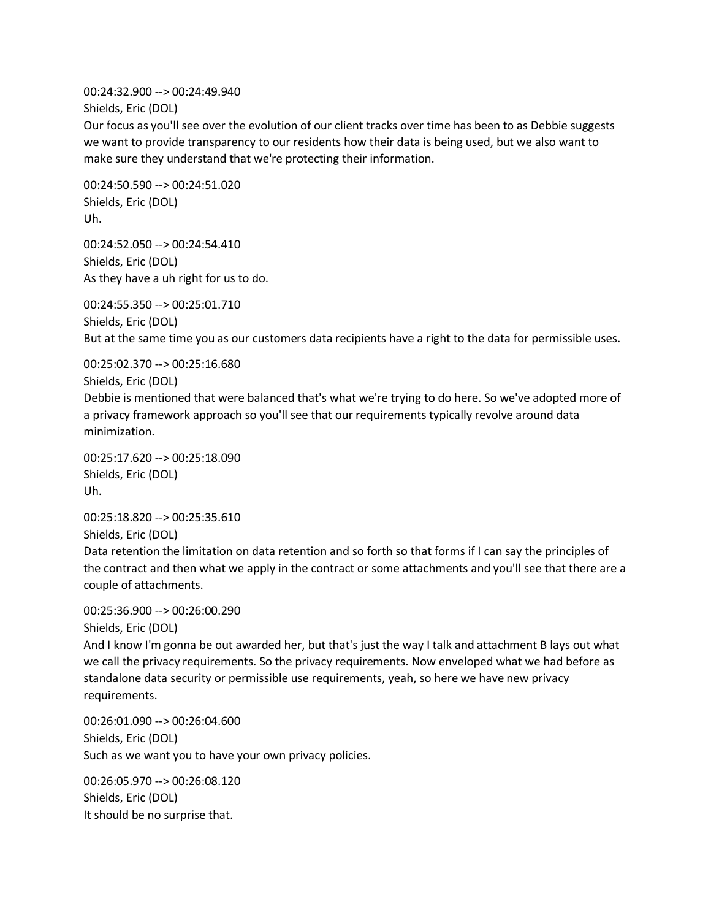00:24:32.900 --> 00:24:49.940 Shields, Eric (DOL)

Our focus as you'll see over the evolution of our client tracks over time has been to as Debbie suggests we want to provide transparency to our residents how their data is being used, but we also want to make sure they understand that we're protecting their information.

00:24:50.590 --> 00:24:51.020 Shields, Eric (DOL) Uh.

00:24:52.050 --> 00:24:54.410 Shields, Eric (DOL) As they have a uh right for us to do.

00:24:55.350 --> 00:25:01.710 Shields, Eric (DOL) But at the same time you as our customers data recipients have a right to the data for permissible uses.

00:25:02.370 --> 00:25:16.680

Shields, Eric (DOL)

Debbie is mentioned that were balanced that's what we're trying to do here. So we've adopted more of a privacy framework approach so you'll see that our requirements typically revolve around data minimization.

00:25:17.620 --> 00:25:18.090 Shields, Eric (DOL) Uh.

00:25:18.820 --> 00:25:35.610

Shields, Eric (DOL)

Data retention the limitation on data retention and so forth so that forms if I can say the principles of the contract and then what we apply in the contract or some attachments and you'll see that there are a couple of attachments.

00:25:36.900 --> 00:26:00.290

Shields, Eric (DOL)

And I know I'm gonna be out awarded her, but that's just the way I talk and attachment B lays out what we call the privacy requirements. So the privacy requirements. Now enveloped what we had before as standalone data security or permissible use requirements, yeah, so here we have new privacy requirements.

00:26:01.090 --> 00:26:04.600 Shields, Eric (DOL) Such as we want you to have your own privacy policies.

00:26:05.970 --> 00:26:08.120 Shields, Eric (DOL) It should be no surprise that.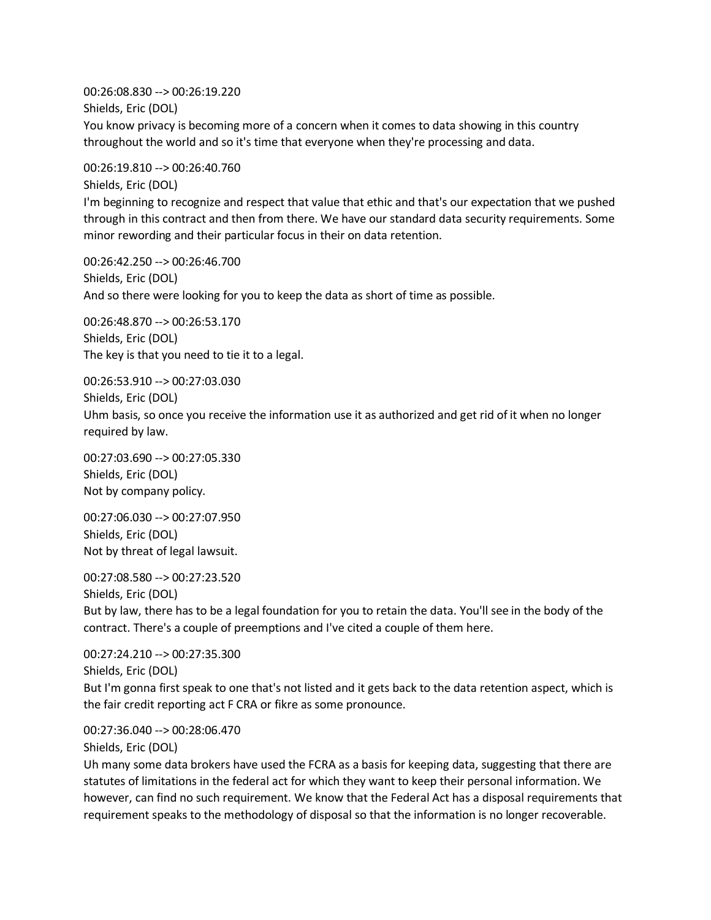00:26:08.830 --> 00:26:19.220 Shields, Eric (DOL) You know privacy is becoming more of a concern when it comes to data showing in this country throughout the world and so it's time that everyone when they're processing and data.

00:26:19.810 --> 00:26:40.760 Shields, Eric (DOL)

I'm beginning to recognize and respect that value that ethic and that's our expectation that we pushed through in this contract and then from there. We have our standard data security requirements. Some minor rewording and their particular focus in their on data retention.

00:26:42.250 --> 00:26:46.700 Shields, Eric (DOL) And so there were looking for you to keep the data as short of time as possible.

00:26:48.870 --> 00:26:53.170 Shields, Eric (DOL) The key is that you need to tie it to a legal.

00:26:53.910 --> 00:27:03.030 Shields, Eric (DOL) Uhm basis, so once you receive the information use it as authorized and get rid of it when no longer required by law.

00:27:03.690 --> 00:27:05.330 Shields, Eric (DOL) Not by company policy.

00:27:06.030 --> 00:27:07.950 Shields, Eric (DOL) Not by threat of legal lawsuit.

00:27:08.580 --> 00:27:23.520 Shields, Eric (DOL) But by law, there has to be a legal foundation for you to retain the data. You'll see in the body of the contract. There's a couple of preemptions and I've cited a couple of them here.

00:27:24.210 --> 00:27:35.300 Shields, Eric (DOL) But I'm gonna first speak to one that's not listed and it gets back to the data retention aspect, which is the fair credit reporting act F CRA or fikre as some pronounce.

00:27:36.040 --> 00:28:06.470

Shields, Eric (DOL)

Uh many some data brokers have used the FCRA as a basis for keeping data, suggesting that there are statutes of limitations in the federal act for which they want to keep their personal information. We however, can find no such requirement. We know that the Federal Act has a disposal requirements that requirement speaks to the methodology of disposal so that the information is no longer recoverable.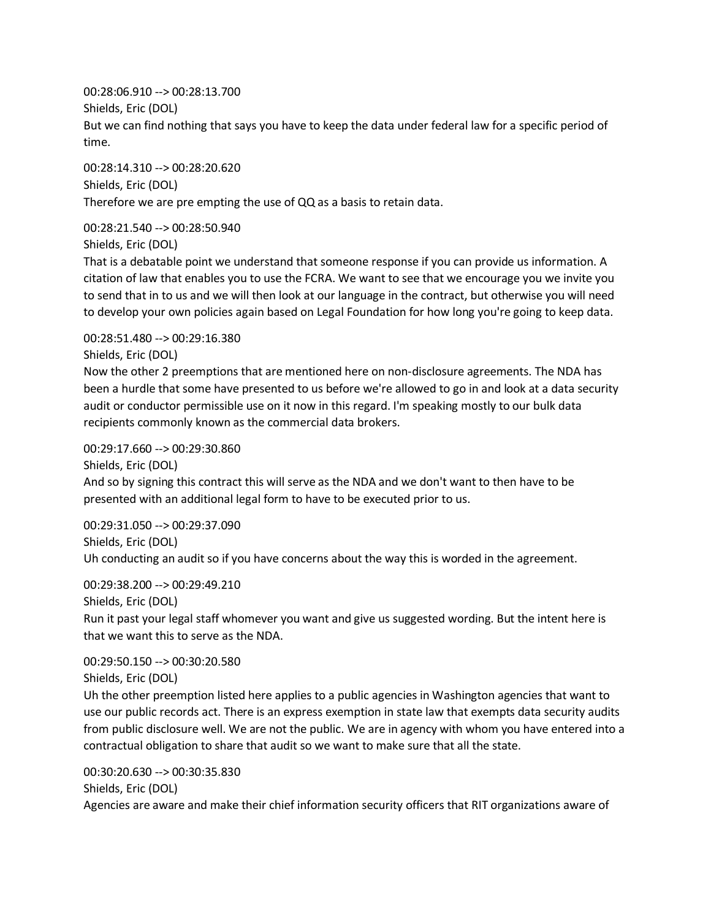00:28:06.910 --> 00:28:13.700 Shields, Eric (DOL) But we can find nothing that says you have to keep the data under federal law for a specific period of time.

00:28:14.310 --> 00:28:20.620 Shields, Eric (DOL) Therefore we are pre empting the use of QQ as a basis to retain data.

00:28:21.540 --> 00:28:50.940

Shields, Eric (DOL)

That is a debatable point we understand that someone response if you can provide us information. A citation of law that enables you to use the FCRA. We want to see that we encourage you we invite you to send that in to us and we will then look at our language in the contract, but otherwise you will need to develop your own policies again based on Legal Foundation for how long you're going to keep data.

00:28:51.480 --> 00:29:16.380

Shields, Eric (DOL)

Now the other 2 preemptions that are mentioned here on non-disclosure agreements. The NDA has been a hurdle that some have presented to us before we're allowed to go in and look at a data security audit or conductor permissible use on it now in this regard. I'm speaking mostly to our bulk data recipients commonly known as the commercial data brokers.

00:29:17.660 --> 00:29:30.860

Shields, Eric (DOL) And so by signing this contract this will serve as the NDA and we don't want to then have to be presented with an additional legal form to have to be executed prior to us.

00:29:31.050 --> 00:29:37.090 Shields, Eric (DOL) Uh conducting an audit so if you have concerns about the way this is worded in the agreement.

00:29:38.200 --> 00:29:49.210 Shields, Eric (DOL) Run it past your legal staff whomever you want and give us suggested wording. But the intent here is that we want this to serve as the NDA.

00:29:50.150 --> 00:30:20.580 Shields, Eric (DOL) Uh the other preemption listed here applies to a public agencies in Washington agencies that want to use our public records act. There is an express exemption in state law that exempts data security audits from public disclosure well. We are not the public. We are in agency with whom you have entered into a

contractual obligation to share that audit so we want to make sure that all the state.

00:30:20.630 --> 00:30:35.830 Shields, Eric (DOL) Agencies are aware and make their chief information security officers that RIT organizations aware of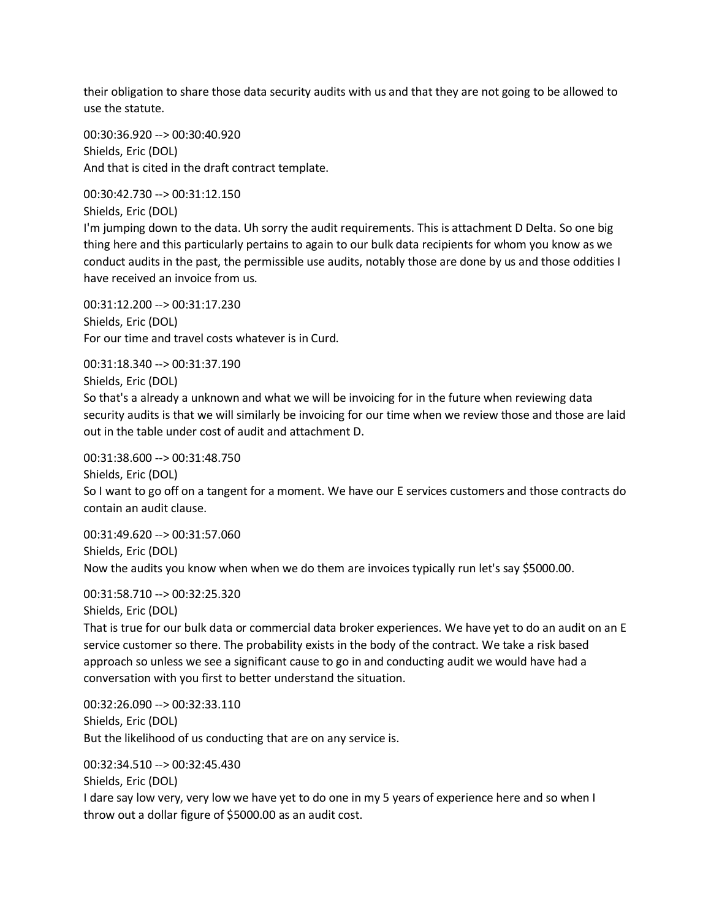their obligation to share those data security audits with us and that they are not going to be allowed to use the statute.

00:30:36.920 --> 00:30:40.920 Shields, Eric (DOL) And that is cited in the draft contract template.

00:30:42.730 --> 00:31:12.150 Shields, Eric (DOL)

I'm jumping down to the data. Uh sorry the audit requirements. This is attachment D Delta. So one big thing here and this particularly pertains to again to our bulk data recipients for whom you know as we conduct audits in the past, the permissible use audits, notably those are done by us and those oddities I have received an invoice from us.

00:31:12.200 --> 00:31:17.230 Shields, Eric (DOL) For our time and travel costs whatever is in Curd.

00:31:18.340 --> 00:31:37.190

Shields, Eric (DOL)

So that's a already a unknown and what we will be invoicing for in the future when reviewing data security audits is that we will similarly be invoicing for our time when we review those and those are laid out in the table under cost of audit and attachment D.

00:31:38.600 --> 00:31:48.750

Shields, Eric (DOL)

So I want to go off on a tangent for a moment. We have our E services customers and those contracts do contain an audit clause.

00:31:49.620 --> 00:31:57.060 Shields, Eric (DOL) Now the audits you know when when we do them are invoices typically run let's say \$5000.00.

00:31:58.710 --> 00:32:25.320

Shields, Eric (DOL)

That is true for our bulk data or commercial data broker experiences. We have yet to do an audit on an E service customer so there. The probability exists in the body of the contract. We take a risk based approach so unless we see a significant cause to go in and conducting audit we would have had a conversation with you first to better understand the situation.

00:32:26.090 --> 00:32:33.110 Shields, Eric (DOL) But the likelihood of us conducting that are on any service is.

00:32:34.510 --> 00:32:45.430

Shields, Eric (DOL)

I dare say low very, very low we have yet to do one in my 5 years of experience here and so when I throw out a dollar figure of \$5000.00 as an audit cost.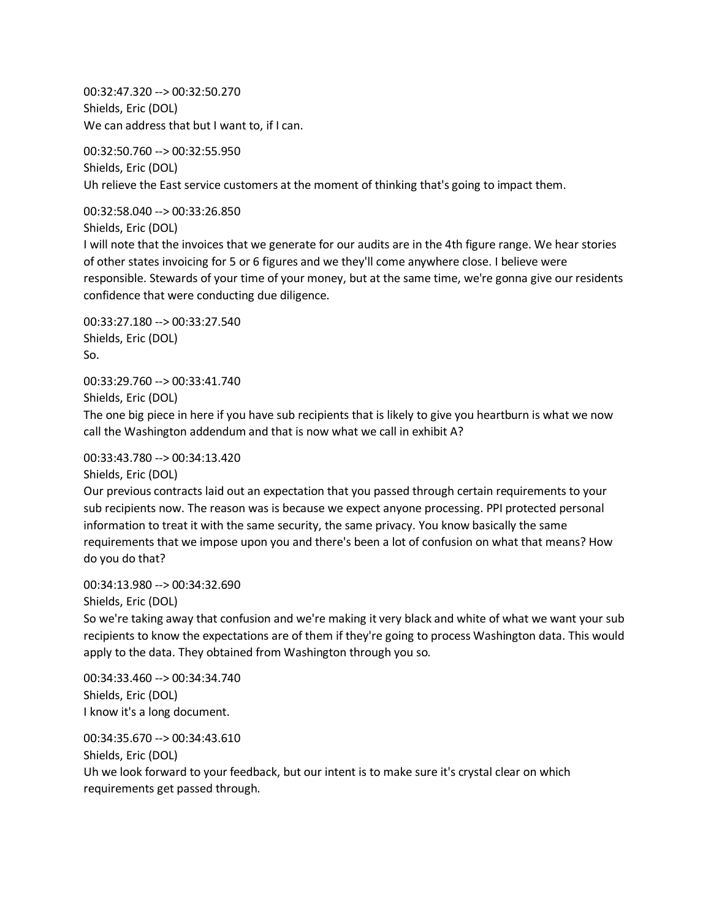00:32:47.320 --> 00:32:50.270 Shields, Eric (DOL) We can address that but I want to, if I can.

00:32:50.760 --> 00:32:55.950 Shields, Eric (DOL) Uh relieve the East service customers at the moment of thinking that's going to impact them.

00:32:58.040 --> 00:33:26.850 Shields, Eric (DOL)

I will note that the invoices that we generate for our audits are in the 4th figure range. We hear stories of other states invoicing for 5 or 6 figures and we they'll come anywhere close. I believe were responsible. Stewards of your time of your money, but at the same time, we're gonna give our residents confidence that were conducting due diligence.

00:33:27.180 --> 00:33:27.540 Shields, Eric (DOL) So.

00:33:29.760 --> 00:33:41.740 Shields, Eric (DOL)

The one big piece in here if you have sub recipients that is likely to give you heartburn is what we now call the Washington addendum and that is now what we call in exhibit A?

00:33:43.780 --> 00:34:13.420

Shields, Eric (DOL)

Our previous contracts laid out an expectation that you passed through certain requirements to your sub recipients now. The reason was is because we expect anyone processing. PPI protected personal information to treat it with the same security, the same privacy. You know basically the same requirements that we impose upon you and there's been a lot of confusion on what that means? How do you do that?

00:34:13.980 --> 00:34:32.690

Shields, Eric (DOL)

So we're taking away that confusion and we're making it very black and white of what we want your sub recipients to know the expectations are of them if they're going to process Washington data. This would apply to the data. They obtained from Washington through you so.

00:34:33.460 --> 00:34:34.740 Shields, Eric (DOL) I know it's a long document.

00:34:35.670 --> 00:34:43.610 Shields, Eric (DOL) Uh we look forward to your feedback, but our intent is to make sure it's crystal clear on which requirements get passed through.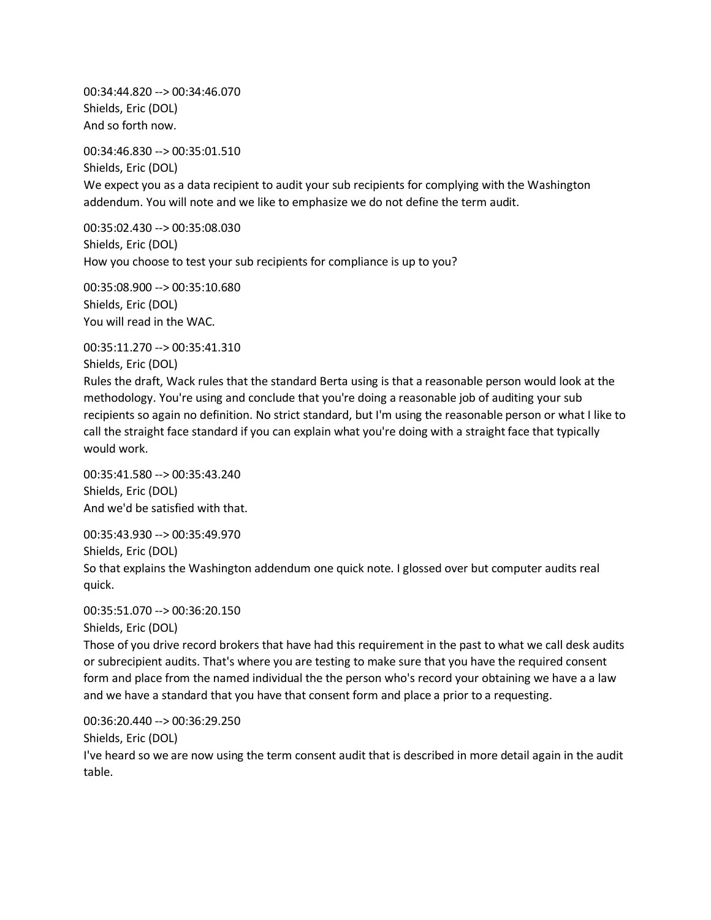00:34:44.820 --> 00:34:46.070 Shields, Eric (DOL) And so forth now.

00:34:46.830 --> 00:35:01.510 Shields, Eric (DOL)

We expect you as a data recipient to audit your sub recipients for complying with the Washington addendum. You will note and we like to emphasize we do not define the term audit.

00:35:02.430 --> 00:35:08.030 Shields, Eric (DOL) How you choose to test your sub recipients for compliance is up to you?

00:35:08.900 --> 00:35:10.680 Shields, Eric (DOL) You will read in the WAC.

00:35:11.270 --> 00:35:41.310 Shields, Eric (DOL)

Rules the draft, Wack rules that the standard Berta using is that a reasonable person would look at the methodology. You're using and conclude that you're doing a reasonable job of auditing your sub recipients so again no definition. No strict standard, but I'm using the reasonable person or what I like to call the straight face standard if you can explain what you're doing with a straight face that typically would work.

00:35:41.580 --> 00:35:43.240 Shields, Eric (DOL) And we'd be satisfied with that.

00:35:43.930 --> 00:35:49.970 Shields, Eric (DOL)

So that explains the Washington addendum one quick note. I glossed over but computer audits real quick.

00:35:51.070 --> 00:36:20.150

Shields, Eric (DOL)

Those of you drive record brokers that have had this requirement in the past to what we call desk audits or subrecipient audits. That's where you are testing to make sure that you have the required consent form and place from the named individual the the person who's record your obtaining we have a a law and we have a standard that you have that consent form and place a prior to a requesting.

00:36:20.440 --> 00:36:29.250 Shields, Eric (DOL)

I've heard so we are now using the term consent audit that is described in more detail again in the audit table.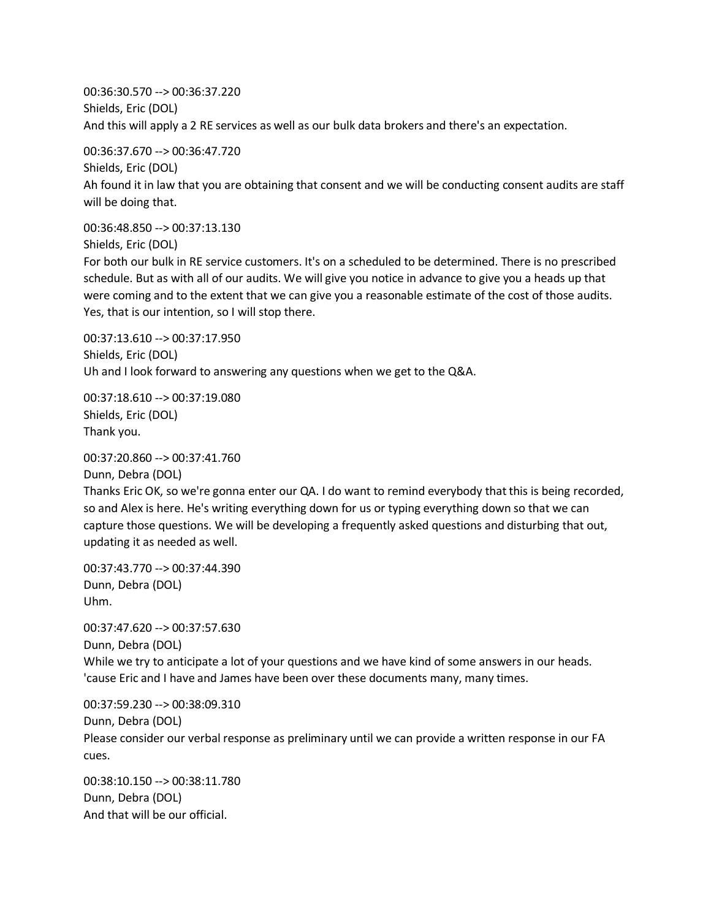00:36:30.570 --> 00:36:37.220 Shields, Eric (DOL) And this will apply a 2 RE services as well as our bulk data brokers and there's an expectation.

00:36:37.670 --> 00:36:47.720 Shields, Eric (DOL) Ah found it in law that you are obtaining that consent and we will be conducting consent audits are staff will be doing that.

00:36:48.850 --> 00:37:13.130

Shields, Eric (DOL)

For both our bulk in RE service customers. It's on a scheduled to be determined. There is no prescribed schedule. But as with all of our audits. We will give you notice in advance to give you a heads up that were coming and to the extent that we can give you a reasonable estimate of the cost of those audits. Yes, that is our intention, so I will stop there.

00:37:13.610 --> 00:37:17.950 Shields, Eric (DOL) Uh and I look forward to answering any questions when we get to the Q&A.

00:37:18.610 --> 00:37:19.080 Shields, Eric (DOL) Thank you.

00:37:20.860 --> 00:37:41.760

Dunn, Debra (DOL) Thanks Eric OK, so we're gonna enter our QA. I do want to remind everybody that this is being recorded, so and Alex is here. He's writing everything down for us or typing everything down so that we can capture those questions. We will be developing a frequently asked questions and disturbing that out, updating it as needed as well.

00:37:43.770 --> 00:37:44.390 Dunn, Debra (DOL) Uhm.

00:37:47.620 --> 00:37:57.630 Dunn, Debra (DOL) While we try to anticipate a lot of your questions and we have kind of some answers in our heads. 'cause Eric and I have and James have been over these documents many, many times.

00:37:59.230 --> 00:38:09.310 Dunn, Debra (DOL) Please consider our verbal response as preliminary until we can provide a written response in our FA cues.

00:38:10.150 --> 00:38:11.780 Dunn, Debra (DOL) And that will be our official.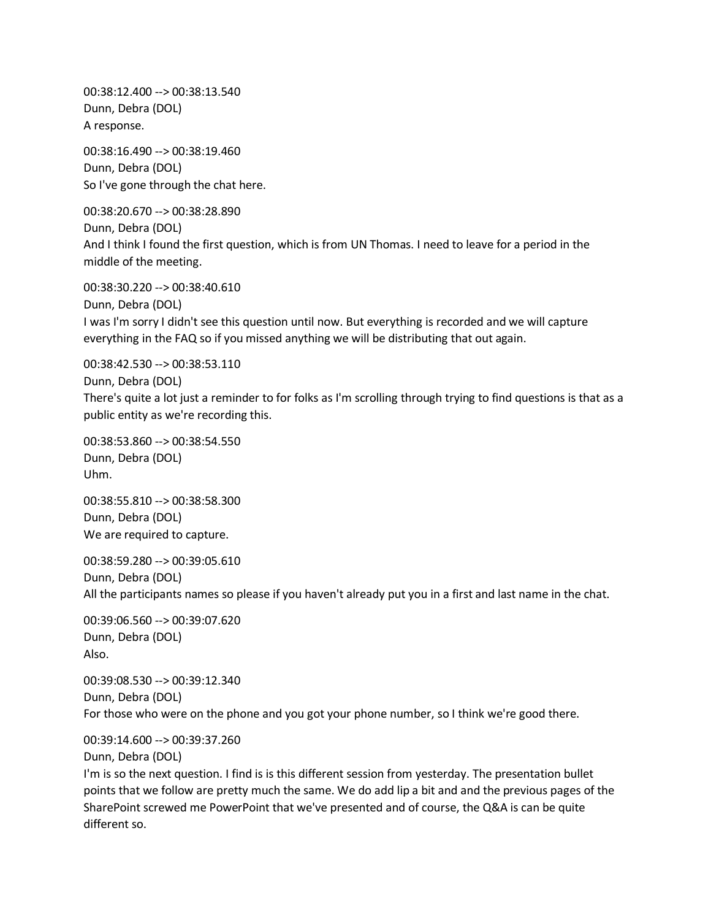00:38:12.400 --> 00:38:13.540 Dunn, Debra (DOL) A response.

00:38:16.490 --> 00:38:19.460 Dunn, Debra (DOL) So I've gone through the chat here.

00:38:20.670 --> 00:38:28.890 Dunn, Debra (DOL) And I think I found the first question, which is from UN Thomas. I need to leave for a period in the middle of the meeting.

00:38:30.220 --> 00:38:40.610 Dunn, Debra (DOL) I was I'm sorry I didn't see this question until now. But everything is recorded and we will capture everything in the FAQ so if you missed anything we will be distributing that out again.

00:38:42.530 --> 00:38:53.110

Dunn, Debra (DOL)

There's quite a lot just a reminder to for folks as I'm scrolling through trying to find questions is that as a public entity as we're recording this.

00:38:53.860 --> 00:38:54.550 Dunn, Debra (DOL) Uhm.

00:38:55.810 --> 00:38:58.300 Dunn, Debra (DOL) We are required to capture.

00:38:59.280 --> 00:39:05.610 Dunn, Debra (DOL) All the participants names so please if you haven't already put you in a first and last name in the chat.

00:39:06.560 --> 00:39:07.620 Dunn, Debra (DOL) Also.

00:39:08.530 --> 00:39:12.340 Dunn, Debra (DOL) For those who were on the phone and you got your phone number, so I think we're good there.

00:39:14.600 --> 00:39:37.260

Dunn, Debra (DOL)

I'm is so the next question. I find is is this different session from yesterday. The presentation bullet points that we follow are pretty much the same. We do add lip a bit and and the previous pages of the SharePoint screwed me PowerPoint that we've presented and of course, the Q&A is can be quite different so.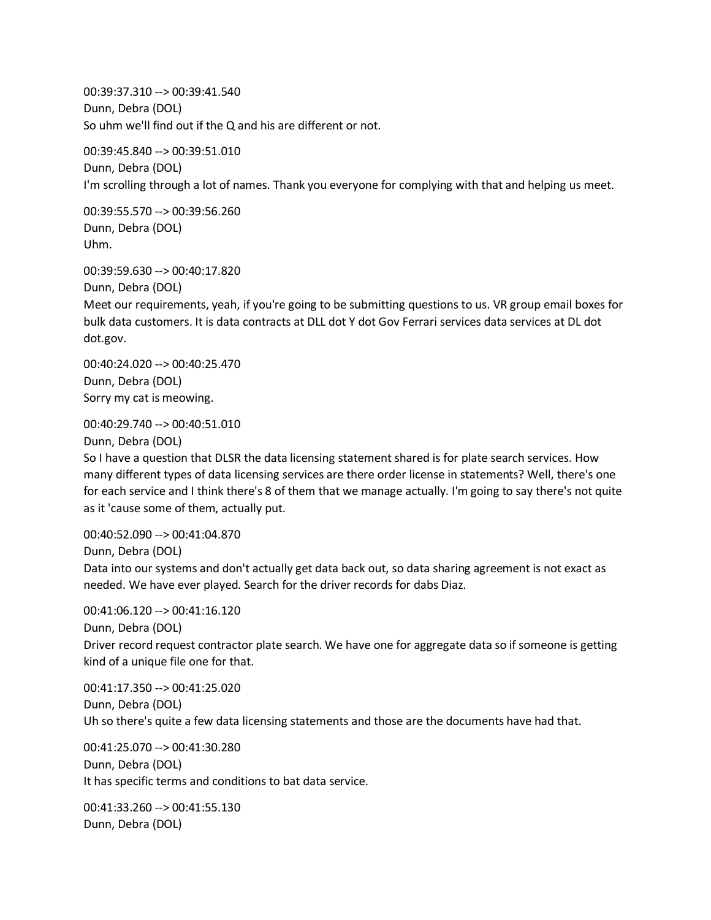00:39:37.310 --> 00:39:41.540 Dunn, Debra (DOL) So uhm we'll find out if the Q and his are different or not.

00:39:45.840 --> 00:39:51.010 Dunn, Debra (DOL) I'm scrolling through a lot of names. Thank you everyone for complying with that and helping us meet.

00:39:55.570 --> 00:39:56.260 Dunn, Debra (DOL) Uhm.

00:39:59.630 --> 00:40:17.820 Dunn, Debra (DOL) Meet our requirements, yeah, if you're going to be submitting questions to us. VR group email boxes for bulk data customers. It is data contracts at DLL dot Y dot Gov Ferrari services data services at DL dot dot.gov.

00:40:24.020 --> 00:40:25.470 Dunn, Debra (DOL) Sorry my cat is meowing.

00:40:29.740 --> 00:40:51.010

Dunn, Debra (DOL)

So I have a question that DLSR the data licensing statement shared is for plate search services. How many different types of data licensing services are there order license in statements? Well, there's one for each service and I think there's 8 of them that we manage actually. I'm going to say there's not quite as it 'cause some of them, actually put.

00:40:52.090 --> 00:41:04.870 Dunn, Debra (DOL) Data into our systems and don't actually get data back out, so data sharing agreement is not exact as needed. We have ever played. Search for the driver records for dabs Diaz.

00:41:06.120 --> 00:41:16.120 Dunn, Debra (DOL) Driver record request contractor plate search. We have one for aggregate data so if someone is getting kind of a unique file one for that.

00:41:17.350 --> 00:41:25.020 Dunn, Debra (DOL) Uh so there's quite a few data licensing statements and those are the documents have had that.

00:41:25.070 --> 00:41:30.280 Dunn, Debra (DOL) It has specific terms and conditions to bat data service.

00:41:33.260 --> 00:41:55.130 Dunn, Debra (DOL)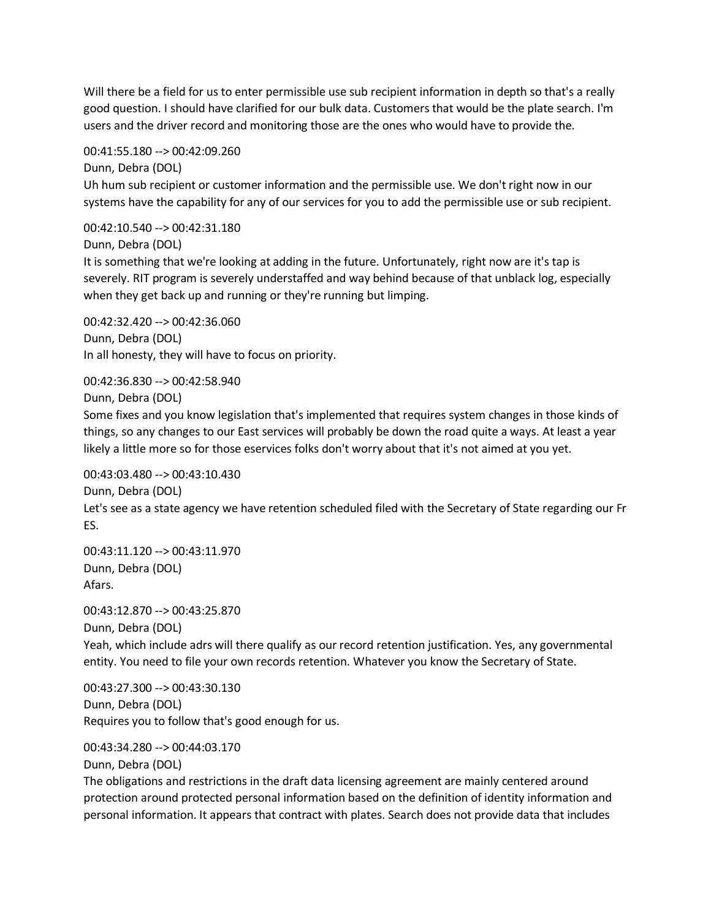Will there be a field for us to enter permissible use sub recipient information in depth so that's a really good question. I should have clarified for our bulk data. Customers that would be the plate search. I'm users and the driver record and monitoring those are the ones who would have to provide the.

00:41:55.180 --> 00:42:09.260

Dunn, Debra (DOL) Uh hum sub recipient or customer information and the permissible use. We don't right now in our systems have the capability for any of our services for you to add the permissible use or sub recipient.

00:42:10.540 --> 00:42:31.180

Dunn, Debra (DOL)

It is something that we're looking at adding in the future. Unfortunately, right now are it's tap is severely. RIT program is severely understaffed and way behind because of that unblack log, especially when they get back up and running or they're running but limping.

00:42:32.420 --> 00:42:36.060 Dunn, Debra (DOL) In all honesty, they will have to focus on priority.

00:42:36.830 --> 00:42:58.940

Dunn, Debra (DOL)

Some fixes and you know legislation that's implemented that requires system changes in those kinds of things, so any changes to our East services will probably be down the road quite a ways. At least a year likely a little more so for those eservices folks don't worry about that it's not aimed at you yet.

00:43:03.480 --> 00:43:10.430

Dunn, Debra (DOL)

Let's see as a state agency we have retention scheduled filed with the Secretary of State regarding our Fr ES.

00:43:11.120 --> 00:43:11.970 Dunn, Debra (DOL) Afars.

00:43:12.870 --> 00:43:25.870

Dunn, Debra (DOL) Yeah, which include adrs will there qualify as our record retention justification. Yes, any governmental entity. You need to file your own records retention. Whatever you know the Secretary of State.

00:43:27.300 --> 00:43:30.130 Dunn, Debra (DOL) Requires you to follow that's good enough for us.

00:43:34.280 --> 00:44:03.170

Dunn, Debra (DOL)

The obligations and restrictions in the draft data licensing agreement are mainly centered around protection around protected personal information based on the definition of identity information and personal information. It appears that contract with plates. Search does not provide data that includes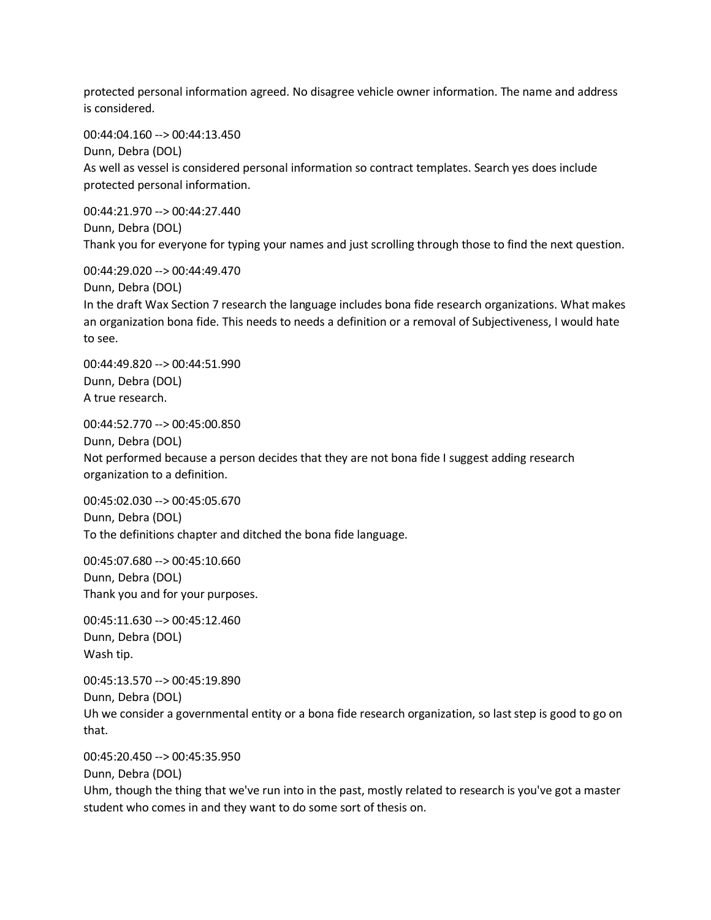protected personal information agreed. No disagree vehicle owner information. The name and address is considered.

00:44:04.160 --> 00:44:13.450

Dunn, Debra (DOL) As well as vessel is considered personal information so contract templates. Search yes does include protected personal information.

00:44:21.970 --> 00:44:27.440 Dunn, Debra (DOL) Thank you for everyone for typing your names and just scrolling through those to find the next question.

00:44:29.020 --> 00:44:49.470 Dunn, Debra (DOL) In the draft Wax Section 7 research the language includes bona fide research organizations. What makes an organization bona fide. This needs to needs a definition or a removal of Subjectiveness, I would hate to see.

00:44:49.820 --> 00:44:51.990 Dunn, Debra (DOL) A true research.

00:44:52.770 --> 00:45:00.850

Dunn, Debra (DOL) Not performed because a person decides that they are not bona fide I suggest adding research organization to a definition.

00:45:02.030 --> 00:45:05.670 Dunn, Debra (DOL) To the definitions chapter and ditched the bona fide language.

00:45:07.680 --> 00:45:10.660 Dunn, Debra (DOL) Thank you and for your purposes.

00:45:11.630 --> 00:45:12.460 Dunn, Debra (DOL) Wash tip.

00:45:13.570 --> 00:45:19.890 Dunn, Debra (DOL) Uh we consider a governmental entity or a bona fide research organization, so last step is good to go on that.

00:45:20.450 --> 00:45:35.950

Dunn, Debra (DOL)

Uhm, though the thing that we've run into in the past, mostly related to research is you've got a master student who comes in and they want to do some sort of thesis on.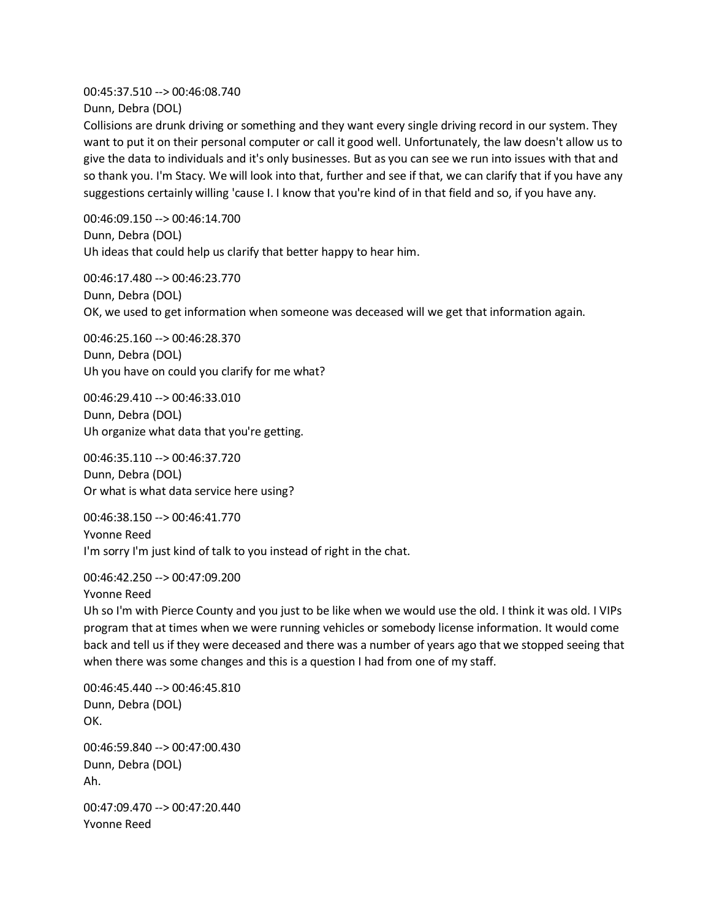00:45:37.510 --> 00:46:08.740 Dunn, Debra (DOL)

Collisions are drunk driving or something and they want every single driving record in our system. They want to put it on their personal computer or call it good well. Unfortunately, the law doesn't allow us to give the data to individuals and it's only businesses. But as you can see we run into issues with that and so thank you. I'm Stacy. We will look into that, further and see if that, we can clarify that if you have any suggestions certainly willing 'cause I. I know that you're kind of in that field and so, if you have any.

00:46:09.150 --> 00:46:14.700 Dunn, Debra (DOL) Uh ideas that could help us clarify that better happy to hear him.

00:46:17.480 --> 00:46:23.770 Dunn, Debra (DOL) OK, we used to get information when someone was deceased will we get that information again.

00:46:25.160 --> 00:46:28.370 Dunn, Debra (DOL) Uh you have on could you clarify for me what?

00:46:29.410 --> 00:46:33.010 Dunn, Debra (DOL) Uh organize what data that you're getting.

00:46:35.110 --> 00:46:37.720 Dunn, Debra (DOL) Or what is what data service here using?

00:46:38.150 --> 00:46:41.770 Yvonne Reed I'm sorry I'm just kind of talk to you instead of right in the chat.

00:46:42.250 --> 00:47:09.200 Yvonne Reed Uh so I'm with Pierce County and you just to be like when we would use the old. I think it was old. I VIPs program that at times when we were running vehicles or somebody license information. It would come back and tell us if they were deceased and there was a number of years ago that we stopped seeing that when there was some changes and this is a question I had from one of my staff.

00:46:45.440 --> 00:46:45.810 Dunn, Debra (DOL) OK. 00:46:59.840 --> 00:47:00.430 Dunn, Debra (DOL) Ah. 00:47:09.470 --> 00:47:20.440 Yvonne Reed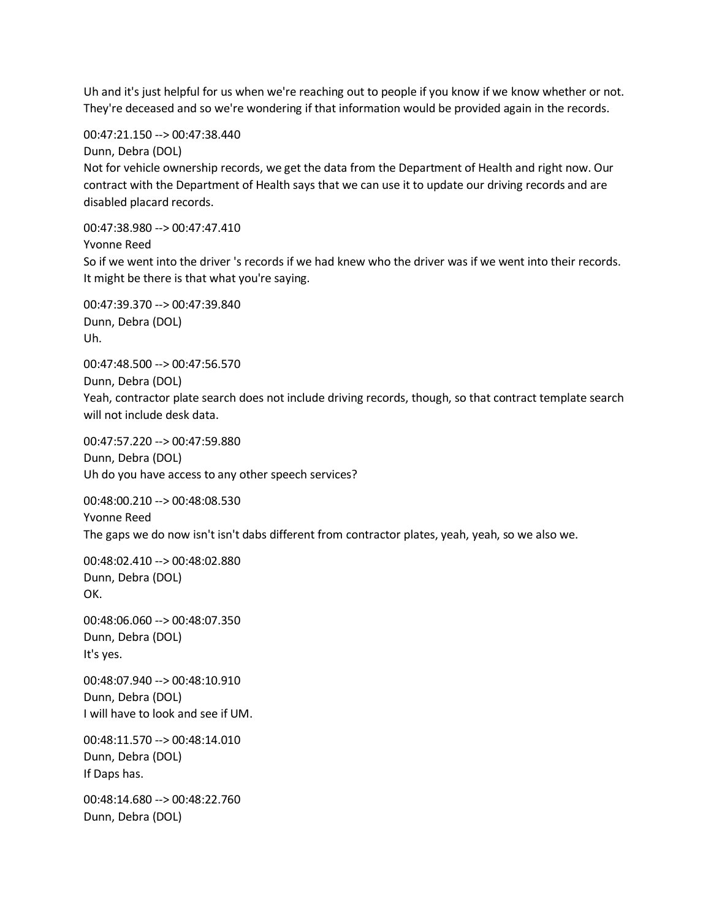Uh and it's just helpful for us when we're reaching out to people if you know if we know whether or not. They're deceased and so we're wondering if that information would be provided again in the records.

00:47:21.150 --> 00:47:38.440

Dunn, Debra (DOL) Not for vehicle ownership records, we get the data from the Department of Health and right now. Our contract with the Department of Health says that we can use it to update our driving records and are disabled placard records.

00:47:38.980 --> 00:47:47.410

Yvonne Reed

So if we went into the driver 's records if we had knew who the driver was if we went into their records. It might be there is that what you're saying.

00:47:39.370 --> 00:47:39.840 Dunn, Debra (DOL) Uh.

00:47:48.500 --> 00:47:56.570

Dunn, Debra (DOL) Yeah, contractor plate search does not include driving records, though, so that contract template search will not include desk data.

00:47:57.220 --> 00:47:59.880 Dunn, Debra (DOL) Uh do you have access to any other speech services?

00:48:00.210 --> 00:48:08.530 Yvonne Reed The gaps we do now isn't isn't dabs different from contractor plates, yeah, yeah, so we also we.

00:48:02.410 --> 00:48:02.880 Dunn, Debra (DOL) OK.

00:48:06.060 --> 00:48:07.350 Dunn, Debra (DOL) It's yes.

00:48:07.940 --> 00:48:10.910 Dunn, Debra (DOL) I will have to look and see if UM.

00:48:11.570 --> 00:48:14.010 Dunn, Debra (DOL) If Daps has.

00:48:14.680 --> 00:48:22.760 Dunn, Debra (DOL)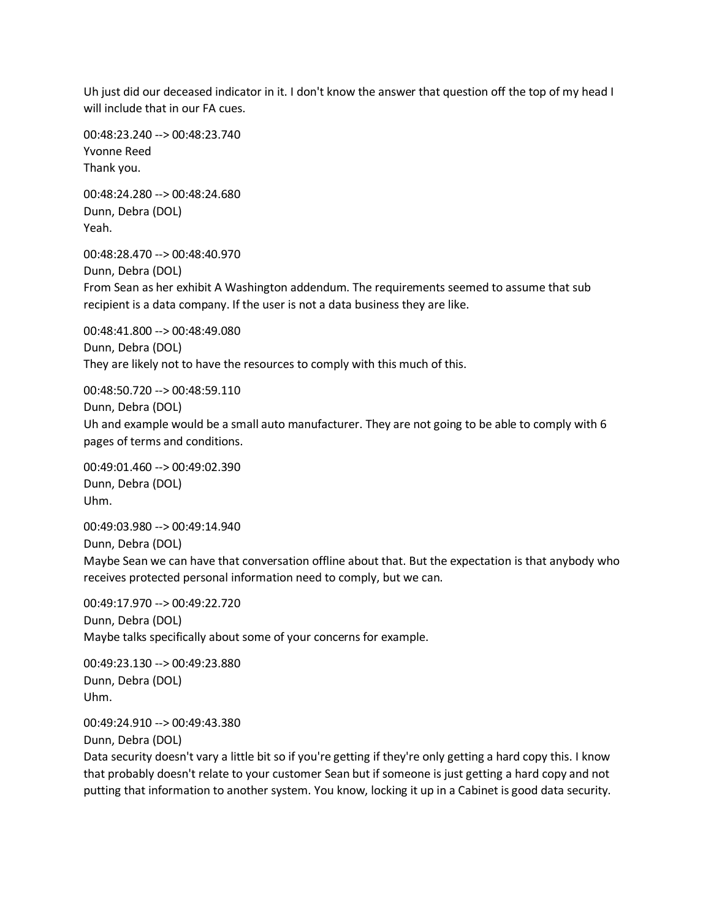Uh just did our deceased indicator in it. I don't know the answer that question off the top of my head I will include that in our FA cues.

00:48:23.240 --> 00:48:23.740 Yvonne Reed Thank you.

00:48:24.280 --> 00:48:24.680 Dunn, Debra (DOL) Yeah.

00:48:28.470 --> 00:48:40.970 Dunn, Debra (DOL) From Sean as her exhibit A Washington addendum. The requirements seemed to assume that sub recipient is a data company. If the user is not a data business they are like.

00:48:41.800 --> 00:48:49.080 Dunn, Debra (DOL) They are likely not to have the resources to comply with this much of this.

00:48:50.720 --> 00:48:59.110 Dunn, Debra (DOL) Uh and example would be a small auto manufacturer. They are not going to be able to comply with 6 pages of terms and conditions.

00:49:01.460 --> 00:49:02.390 Dunn, Debra (DOL) Uhm.

00:49:03.980 --> 00:49:14.940 Dunn, Debra (DOL) Maybe Sean we can have that conversation offline about that. But the expectation is that anybody who receives protected personal information need to comply, but we can.

00:49:17.970 --> 00:49:22.720 Dunn, Debra (DOL) Maybe talks specifically about some of your concerns for example.

00:49:23.130 --> 00:49:23.880 Dunn, Debra (DOL) Uhm.

00:49:24.910 --> 00:49:43.380

Dunn, Debra (DOL)

Data security doesn't vary a little bit so if you're getting if they're only getting a hard copy this. I know that probably doesn't relate to your customer Sean but if someone is just getting a hard copy and not putting that information to another system. You know, locking it up in a Cabinet is good data security.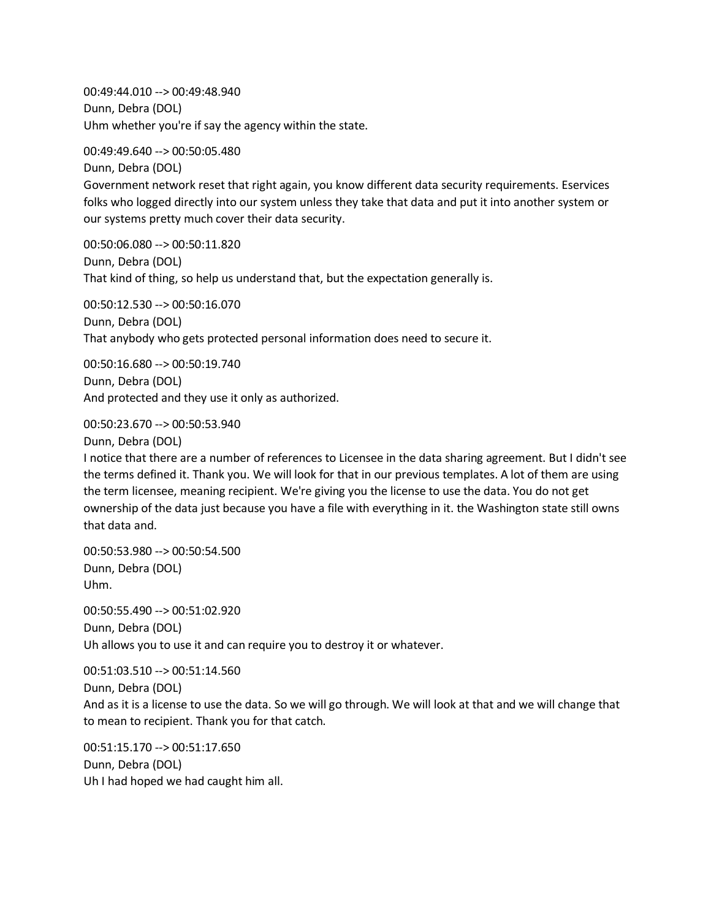00:49:44.010 --> 00:49:48.940 Dunn, Debra (DOL) Uhm whether you're if say the agency within the state.

00:49:49.640 --> 00:50:05.480

Dunn, Debra (DOL) Government network reset that right again, you know different data security requirements. Eservices folks who logged directly into our system unless they take that data and put it into another system or our systems pretty much cover their data security.

00:50:06.080 --> 00:50:11.820 Dunn, Debra (DOL) That kind of thing, so help us understand that, but the expectation generally is.

00:50:12.530 --> 00:50:16.070 Dunn, Debra (DOL) That anybody who gets protected personal information does need to secure it.

00:50:16.680 --> 00:50:19.740 Dunn, Debra (DOL) And protected and they use it only as authorized.

00:50:23.670 --> 00:50:53.940

Dunn, Debra (DOL)

I notice that there are a number of references to Licensee in the data sharing agreement. But I didn't see the terms defined it. Thank you. We will look for that in our previous templates. A lot of them are using the term licensee, meaning recipient. We're giving you the license to use the data. You do not get ownership of the data just because you have a file with everything in it. the Washington state still owns that data and.

00:50:53.980 --> 00:50:54.500 Dunn, Debra (DOL) Uhm.

00:50:55.490 --> 00:51:02.920 Dunn, Debra (DOL) Uh allows you to use it and can require you to destroy it or whatever.

00:51:03.510 --> 00:51:14.560 Dunn, Debra (DOL) And as it is a license to use the data. So we will go through. We will look at that and we will change that to mean to recipient. Thank you for that catch.

00:51:15.170 --> 00:51:17.650 Dunn, Debra (DOL) Uh I had hoped we had caught him all.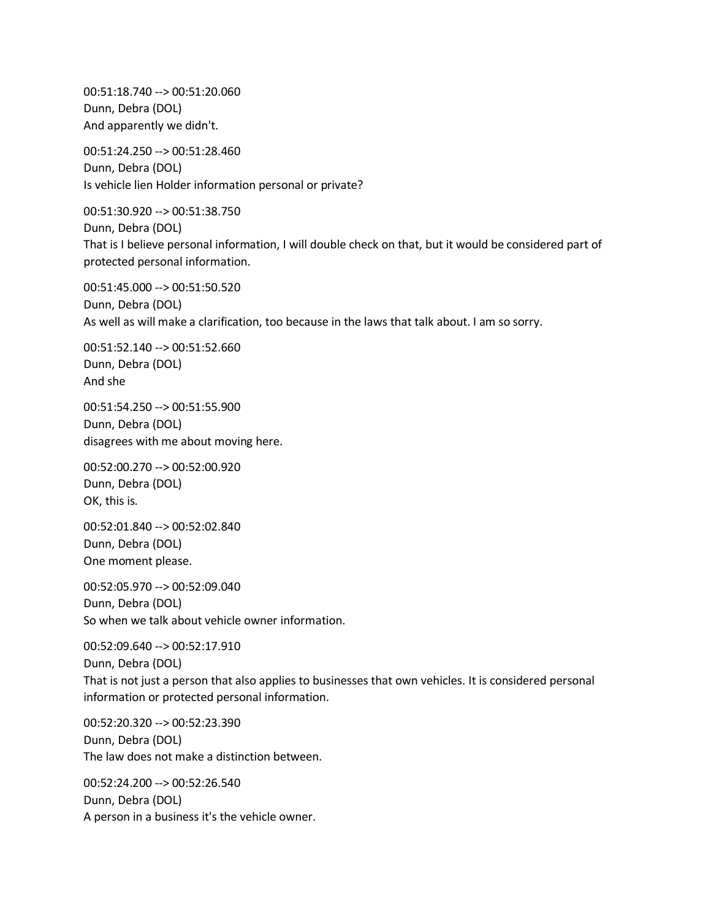00:51:18.740 --> 00:51:20.060 Dunn, Debra (DOL) And apparently we didn't.

00:51:24.250 --> 00:51:28.460 Dunn, Debra (DOL) Is vehicle lien Holder information personal or private?

00:51:30.920 --> 00:51:38.750 Dunn, Debra (DOL) That is I believe personal information, I will double check on that, but it would be considered part of protected personal information.

00:51:45.000 --> 00:51:50.520 Dunn, Debra (DOL) As well as will make a clarification, too because in the laws that talk about. I am so sorry.

00:51:52.140 --> 00:51:52.660 Dunn, Debra (DOL) And she

00:51:54.250 --> 00:51:55.900 Dunn, Debra (DOL) disagrees with me about moving here.

00:52:00.270 --> 00:52:00.920 Dunn, Debra (DOL) OK, this is.

00:52:01.840 --> 00:52:02.840 Dunn, Debra (DOL) One moment please.

00:52:05.970 --> 00:52:09.040 Dunn, Debra (DOL) So when we talk about vehicle owner information.

00:52:09.640 --> 00:52:17.910 Dunn, Debra (DOL) That is not just a person that also applies to businesses that own vehicles. It is considered personal information or protected personal information.

00:52:20.320 --> 00:52:23.390 Dunn, Debra (DOL) The law does not make a distinction between.

00:52:24.200 --> 00:52:26.540 Dunn, Debra (DOL) A person in a business it's the vehicle owner.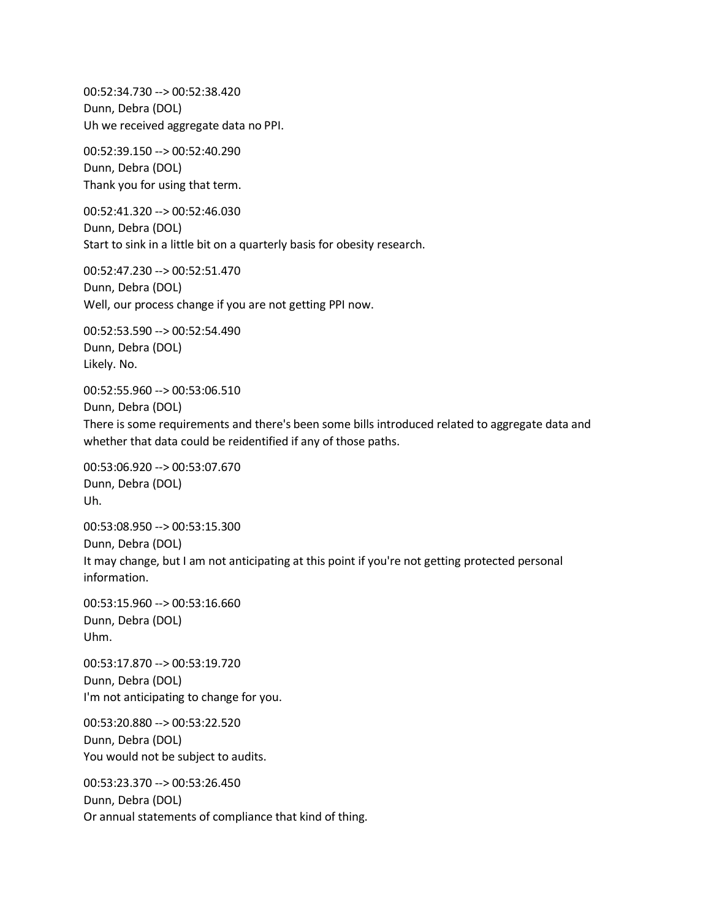00:52:34.730 --> 00:52:38.420 Dunn, Debra (DOL) Uh we received aggregate data no PPI.

00:52:39.150 --> 00:52:40.290 Dunn, Debra (DOL) Thank you for using that term.

00:52:41.320 --> 00:52:46.030 Dunn, Debra (DOL) Start to sink in a little bit on a quarterly basis for obesity research.

00:52:47.230 --> 00:52:51.470 Dunn, Debra (DOL) Well, our process change if you are not getting PPI now.

00:52:53.590 --> 00:52:54.490 Dunn, Debra (DOL) Likely. No.

00:52:55.960 --> 00:53:06.510 Dunn, Debra (DOL) There is some requirements and there's been some bills introduced related to aggregate data and whether that data could be reidentified if any of those paths.

00:53:06.920 --> 00:53:07.670 Dunn, Debra (DOL) Uh.

00:53:08.950 --> 00:53:15.300 Dunn, Debra (DOL) It may change, but I am not anticipating at this point if you're not getting protected personal information.

00:53:15.960 --> 00:53:16.660 Dunn, Debra (DOL) Uhm.

00:53:17.870 --> 00:53:19.720 Dunn, Debra (DOL) I'm not anticipating to change for you.

00:53:20.880 --> 00:53:22.520 Dunn, Debra (DOL) You would not be subject to audits.

00:53:23.370 --> 00:53:26.450 Dunn, Debra (DOL) Or annual statements of compliance that kind of thing.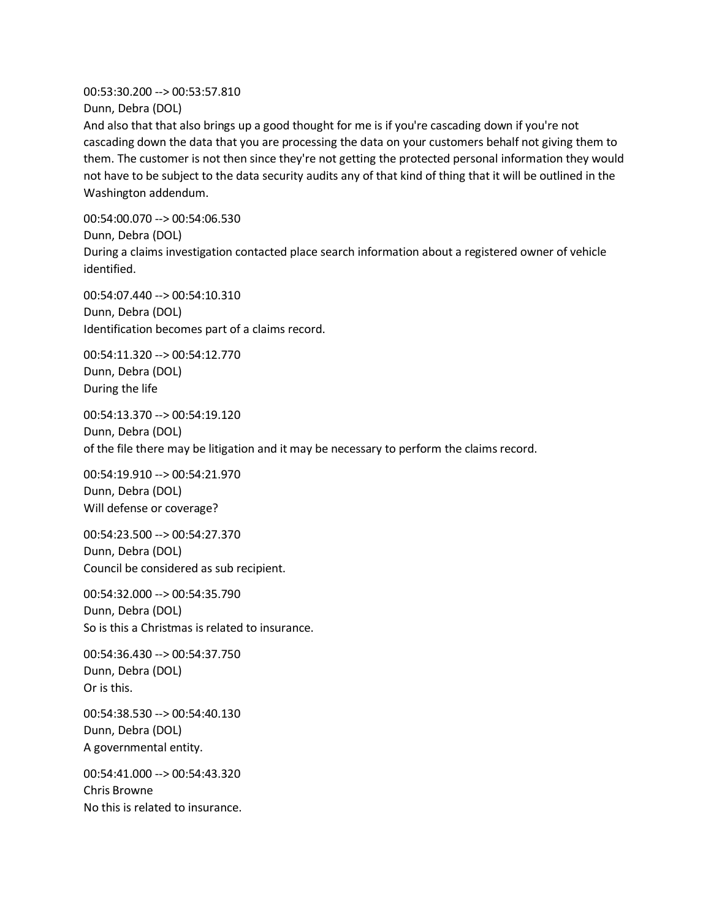00:53:30.200 --> 00:53:57.810 Dunn, Debra (DOL)

And also that that also brings up a good thought for me is if you're cascading down if you're not cascading down the data that you are processing the data on your customers behalf not giving them to them. The customer is not then since they're not getting the protected personal information they would not have to be subject to the data security audits any of that kind of thing that it will be outlined in the Washington addendum.

00:54:00.070 --> 00:54:06.530 Dunn, Debra (DOL) During a claims investigation contacted place search information about a registered owner of vehicle identified.

00:54:07.440 --> 00:54:10.310 Dunn, Debra (DOL) Identification becomes part of a claims record.

00:54:11.320 --> 00:54:12.770 Dunn, Debra (DOL) During the life

00:54:13.370 --> 00:54:19.120 Dunn, Debra (DOL) of the file there may be litigation and it may be necessary to perform the claims record.

00:54:19.910 --> 00:54:21.970 Dunn, Debra (DOL) Will defense or coverage?

00:54:23.500 --> 00:54:27.370 Dunn, Debra (DOL) Council be considered as sub recipient.

00:54:32.000 --> 00:54:35.790 Dunn, Debra (DOL) So is this a Christmas is related to insurance.

00:54:36.430 --> 00:54:37.750 Dunn, Debra (DOL) Or is this.

00:54:38.530 --> 00:54:40.130 Dunn, Debra (DOL) A governmental entity.

00:54:41.000 --> 00:54:43.320 Chris Browne No this is related to insurance.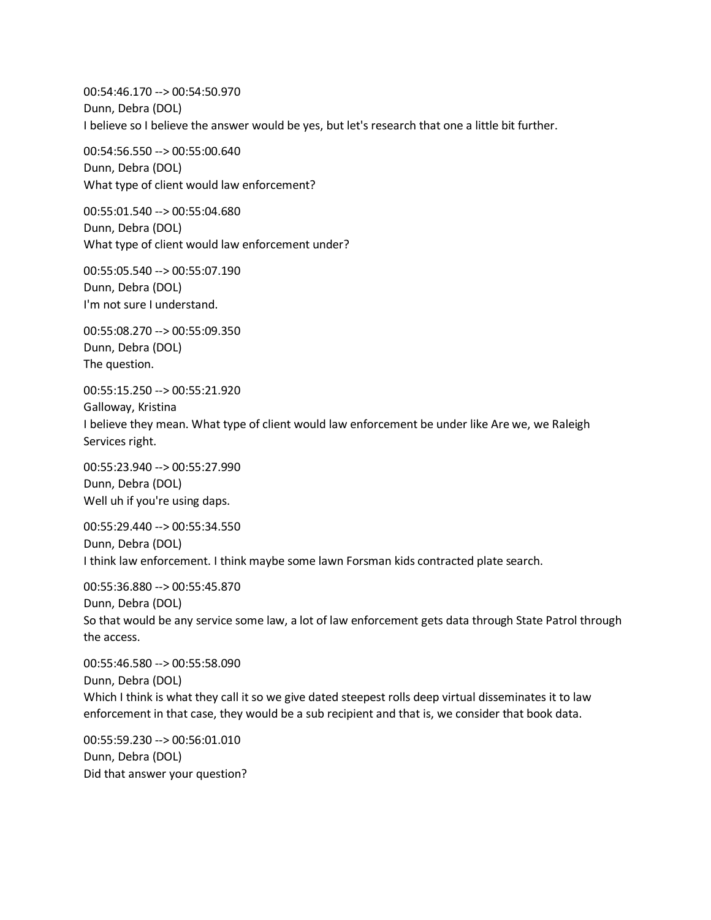00:54:46.170 --> 00:54:50.970 Dunn, Debra (DOL) I believe so I believe the answer would be yes, but let's research that one a little bit further.

00:54:56.550 --> 00:55:00.640 Dunn, Debra (DOL) What type of client would law enforcement?

00:55:01.540 --> 00:55:04.680 Dunn, Debra (DOL) What type of client would law enforcement under?

00:55:05.540 --> 00:55:07.190 Dunn, Debra (DOL) I'm not sure I understand.

00:55:08.270 --> 00:55:09.350 Dunn, Debra (DOL) The question.

00:55:15.250 --> 00:55:21.920 Galloway, Kristina I believe they mean. What type of client would law enforcement be under like Are we, we Raleigh Services right.

00:55:23.940 --> 00:55:27.990 Dunn, Debra (DOL) Well uh if you're using daps.

00:55:29.440 --> 00:55:34.550 Dunn, Debra (DOL) I think law enforcement. I think maybe some lawn Forsman kids contracted plate search.

00:55:36.880 --> 00:55:45.870 Dunn, Debra (DOL) So that would be any service some law, a lot of law enforcement gets data through State Patrol through the access.

00:55:46.580 --> 00:55:58.090 Dunn, Debra (DOL) Which I think is what they call it so we give dated steepest rolls deep virtual disseminates it to law enforcement in that case, they would be a sub recipient and that is, we consider that book data.

00:55:59.230 --> 00:56:01.010 Dunn, Debra (DOL) Did that answer your question?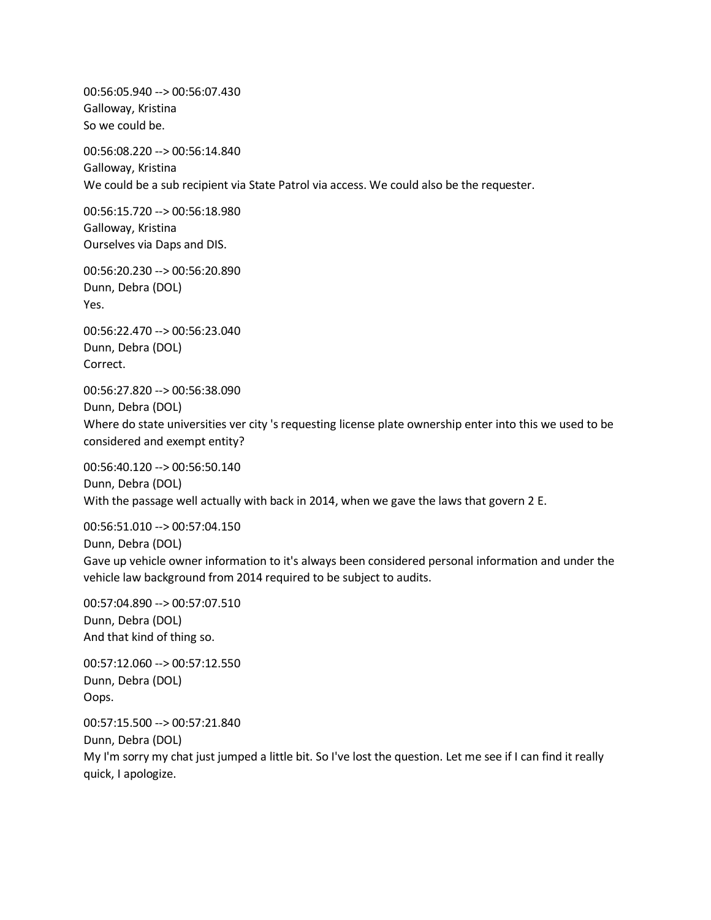00:56:05.940 --> 00:56:07.430 Galloway, Kristina So we could be.

00:56:08.220 --> 00:56:14.840 Galloway, Kristina We could be a sub recipient via State Patrol via access. We could also be the requester.

00:56:15.720 --> 00:56:18.980 Galloway, Kristina Ourselves via Daps and DIS.

00:56:20.230 --> 00:56:20.890 Dunn, Debra (DOL) Yes.

00:56:22.470 --> 00:56:23.040 Dunn, Debra (DOL) Correct.

00:56:27.820 --> 00:56:38.090 Dunn, Debra (DOL) Where do state universities ver city 's requesting license plate ownership enter into this we used to be considered and exempt entity?

00:56:40.120 --> 00:56:50.140 Dunn, Debra (DOL) With the passage well actually with back in 2014, when we gave the laws that govern 2 E.

00:56:51.010 --> 00:57:04.150 Dunn, Debra (DOL) Gave up vehicle owner information to it's always been considered personal information and under the vehicle law background from 2014 required to be subject to audits.

00:57:04.890 --> 00:57:07.510 Dunn, Debra (DOL) And that kind of thing so.

00:57:12.060 --> 00:57:12.550 Dunn, Debra (DOL) Oops.

00:57:15.500 --> 00:57:21.840 Dunn, Debra (DOL) My I'm sorry my chat just jumped a little bit. So I've lost the question. Let me see if I can find it really quick, I apologize.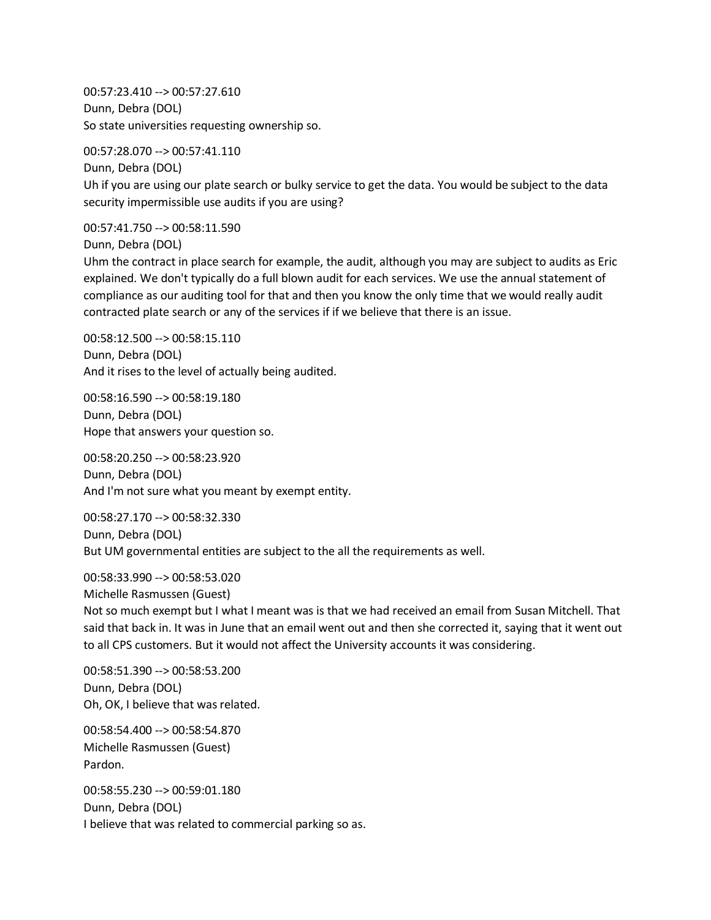00:57:23.410 --> 00:57:27.610 Dunn, Debra (DOL) So state universities requesting ownership so.

00:57:28.070 --> 00:57:41.110

Dunn, Debra (DOL) Uh if you are using our plate search or bulky service to get the data. You would be subject to the data security impermissible use audits if you are using?

00:57:41.750 --> 00:58:11.590

Dunn, Debra (DOL)

Uhm the contract in place search for example, the audit, although you may are subject to audits as Eric explained. We don't typically do a full blown audit for each services. We use the annual statement of compliance as our auditing tool for that and then you know the only time that we would really audit contracted plate search or any of the services if if we believe that there is an issue.

00:58:12.500 --> 00:58:15.110 Dunn, Debra (DOL) And it rises to the level of actually being audited.

00:58:16.590 --> 00:58:19.180 Dunn, Debra (DOL) Hope that answers your question so.

00:58:20.250 --> 00:58:23.920 Dunn, Debra (DOL) And I'm not sure what you meant by exempt entity.

00:58:27.170 --> 00:58:32.330 Dunn, Debra (DOL) But UM governmental entities are subject to the all the requirements as well.

00:58:33.990 --> 00:58:53.020 Michelle Rasmussen (Guest) Not so much exempt but I what I meant was is that we had received an email from Susan Mitchell. That said that back in. It was in June that an email went out and then she corrected it, saying that it went out to all CPS customers. But it would not affect the University accounts it was considering.

00:58:51.390 --> 00:58:53.200 Dunn, Debra (DOL) Oh, OK, I believe that was related.

00:58:54.400 --> 00:58:54.870 Michelle Rasmussen (Guest) Pardon.

00:58:55.230 --> 00:59:01.180 Dunn, Debra (DOL) I believe that was related to commercial parking so as.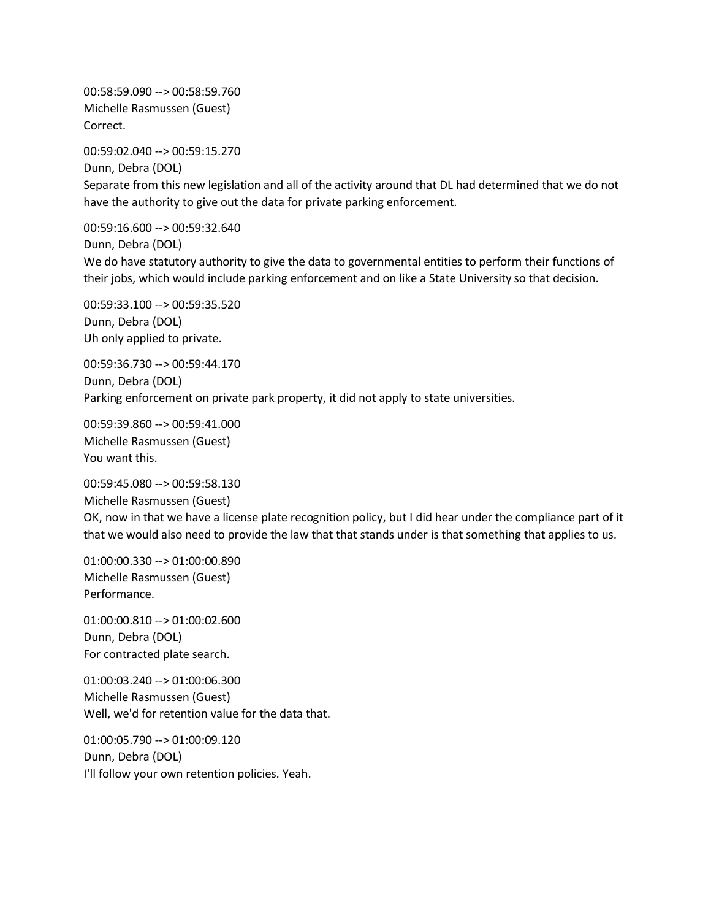00:58:59.090 --> 00:58:59.760 Michelle Rasmussen (Guest) Correct.

00:59:02.040 --> 00:59:15.270 Dunn, Debra (DOL) Separate from this new legislation and all of the activity around that DL had determined that we do not have the authority to give out the data for private parking enforcement.

00:59:16.600 --> 00:59:32.640 Dunn, Debra (DOL) We do have statutory authority to give the data to governmental entities to perform their functions of their jobs, which would include parking enforcement and on like a State University so that decision.

00:59:33.100 --> 00:59:35.520 Dunn, Debra (DOL) Uh only applied to private.

00:59:36.730 --> 00:59:44.170 Dunn, Debra (DOL) Parking enforcement on private park property, it did not apply to state universities.

00:59:39.860 --> 00:59:41.000 Michelle Rasmussen (Guest) You want this.

00:59:45.080 --> 00:59:58.130 Michelle Rasmussen (Guest) OK, now in that we have a license plate recognition policy, but I did hear under the compliance part of it that we would also need to provide the law that that stands under is that something that applies to us.

01:00:00.330 --> 01:00:00.890 Michelle Rasmussen (Guest) Performance.

01:00:00.810 --> 01:00:02.600 Dunn, Debra (DOL) For contracted plate search.

01:00:03.240 --> 01:00:06.300 Michelle Rasmussen (Guest) Well, we'd for retention value for the data that.

01:00:05.790 --> 01:00:09.120 Dunn, Debra (DOL) I'll follow your own retention policies. Yeah.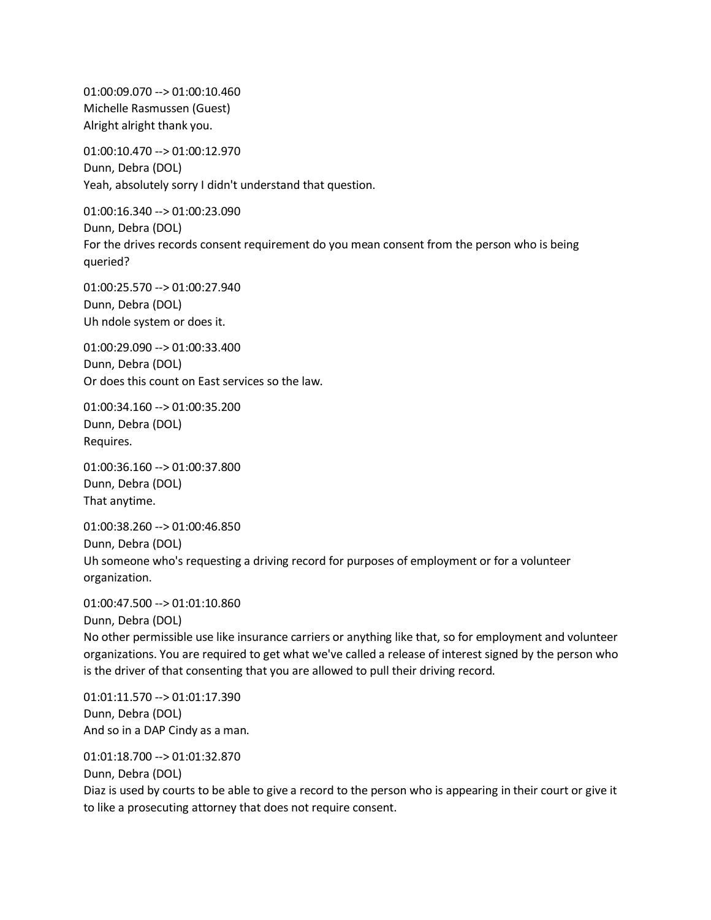01:00:09.070 --> 01:00:10.460 Michelle Rasmussen (Guest) Alright alright thank you.

01:00:10.470 --> 01:00:12.970 Dunn, Debra (DOL) Yeah, absolutely sorry I didn't understand that question.

01:00:16.340 --> 01:00:23.090 Dunn, Debra (DOL) For the drives records consent requirement do you mean consent from the person who is being queried?

01:00:25.570 --> 01:00:27.940 Dunn, Debra (DOL) Uh ndole system or does it.

01:00:29.090 --> 01:00:33.400 Dunn, Debra (DOL) Or does this count on East services so the law.

01:00:34.160 --> 01:00:35.200 Dunn, Debra (DOL) Requires.

01:00:36.160 --> 01:00:37.800 Dunn, Debra (DOL) That anytime.

01:00:38.260 --> 01:00:46.850 Dunn, Debra (DOL) Uh someone who's requesting a driving record for purposes of employment or for a volunteer organization.

01:00:47.500 --> 01:01:10.860

Dunn, Debra (DOL)

No other permissible use like insurance carriers or anything like that, so for employment and volunteer organizations. You are required to get what we've called a release of interest signed by the person who is the driver of that consenting that you are allowed to pull their driving record.

01:01:11.570 --> 01:01:17.390 Dunn, Debra (DOL) And so in a DAP Cindy as a man.

01:01:18.700 --> 01:01:32.870 Dunn, Debra (DOL) Diaz is used by courts to be able to give a record to the person who is appearing in their court or give it to like a prosecuting attorney that does not require consent.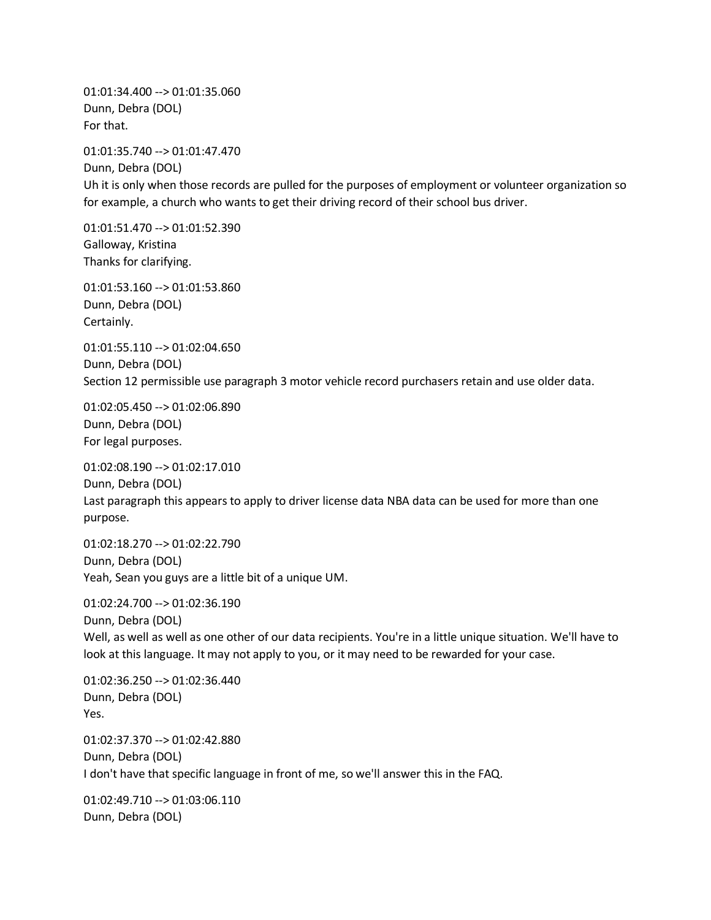01:01:34.400 --> 01:01:35.060 Dunn, Debra (DOL) For that.

01:01:35.740 --> 01:01:47.470 Dunn, Debra (DOL) Uh it is only when those records are pulled for the purposes of employment or volunteer organization so for example, a church who wants to get their driving record of their school bus driver.

01:01:51.470 --> 01:01:52.390 Galloway, Kristina Thanks for clarifying.

01:01:53.160 --> 01:01:53.860 Dunn, Debra (DOL) Certainly.

01:01:55.110 --> 01:02:04.650 Dunn, Debra (DOL) Section 12 permissible use paragraph 3 motor vehicle record purchasers retain and use older data.

01:02:05.450 --> 01:02:06.890 Dunn, Debra (DOL) For legal purposes.

01:02:08.190 --> 01:02:17.010

Dunn, Debra (DOL) Last paragraph this appears to apply to driver license data NBA data can be used for more than one purpose.

01:02:18.270 --> 01:02:22.790 Dunn, Debra (DOL) Yeah, Sean you guys are a little bit of a unique UM.

01:02:24.700 --> 01:02:36.190 Dunn, Debra (DOL) Well, as well as well as one other of our data recipients. You're in a little unique situation. We'll have to look at this language. It may not apply to you, or it may need to be rewarded for your case.

01:02:36.250 --> 01:02:36.440 Dunn, Debra (DOL) Yes. 01:02:37.370 --> 01:02:42.880 Dunn, Debra (DOL) I don't have that specific language in front of me, so we'll answer this in the FAQ.

01:02:49.710 --> 01:03:06.110 Dunn, Debra (DOL)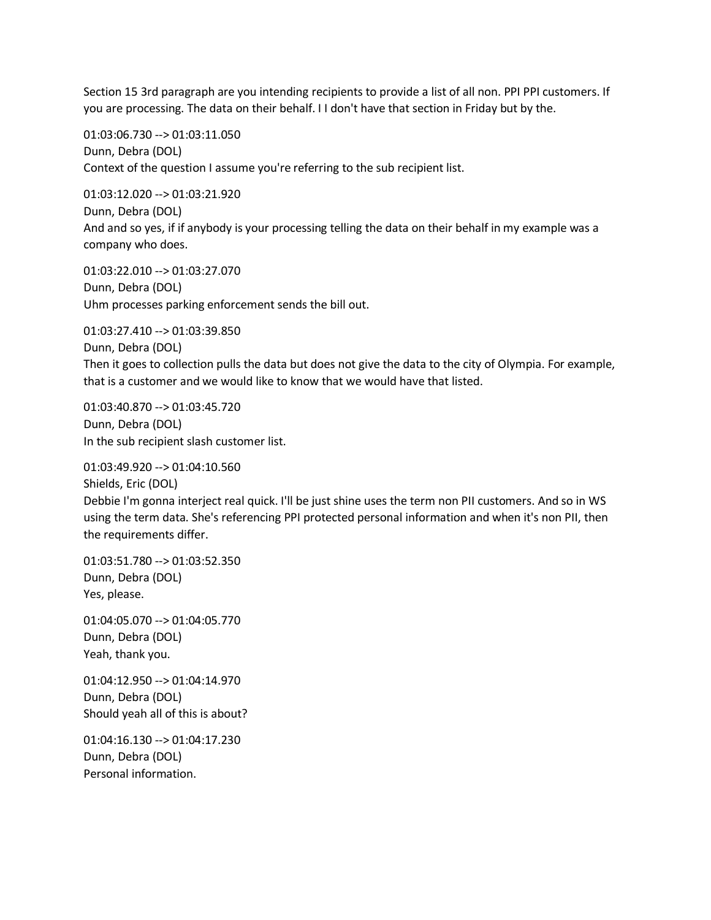Section 15 3rd paragraph are you intending recipients to provide a list of all non. PPI PPI customers. If you are processing. The data on their behalf. I I don't have that section in Friday but by the.

01:03:06.730 --> 01:03:11.050 Dunn, Debra (DOL) Context of the question I assume you're referring to the sub recipient list.

01:03:12.020 --> 01:03:21.920 Dunn, Debra (DOL) And and so yes, if if anybody is your processing telling the data on their behalf in my example was a company who does.

01:03:22.010 --> 01:03:27.070 Dunn, Debra (DOL) Uhm processes parking enforcement sends the bill out.

01:03:27.410 --> 01:03:39.850 Dunn, Debra (DOL) Then it goes to collection pulls the data but does not give the data to the city of Olympia. For example, that is a customer and we would like to know that we would have that listed.

01:03:40.870 --> 01:03:45.720 Dunn, Debra (DOL) In the sub recipient slash customer list.

01:03:49.920 --> 01:04:10.560 Shields, Eric (DOL) Debbie I'm gonna interject real quick. I'll be just shine uses the term non PII customers. And so in WS using the term data. She's referencing PPI protected personal information and when it's non PII, then the requirements differ.

01:03:51.780 --> 01:03:52.350 Dunn, Debra (DOL) Yes, please.

01:04:05.070 --> 01:04:05.770 Dunn, Debra (DOL) Yeah, thank you.

01:04:12.950 --> 01:04:14.970 Dunn, Debra (DOL) Should yeah all of this is about?

01:04:16.130 --> 01:04:17.230 Dunn, Debra (DOL) Personal information.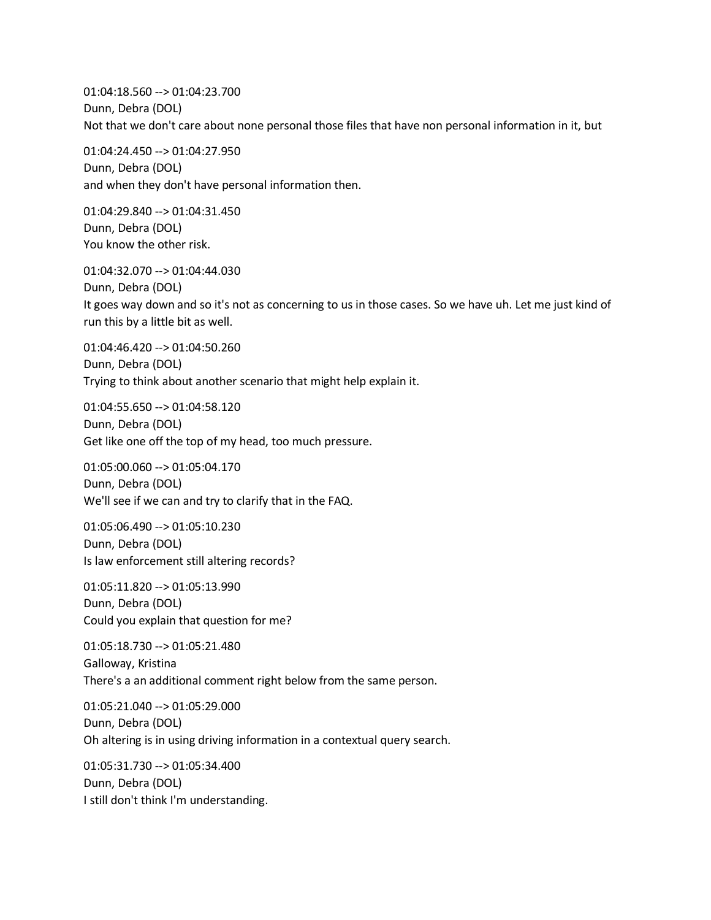01:04:18.560 --> 01:04:23.700 Dunn, Debra (DOL) Not that we don't care about none personal those files that have non personal information in it, but

01:04:24.450 --> 01:04:27.950 Dunn, Debra (DOL) and when they don't have personal information then.

01:04:29.840 --> 01:04:31.450 Dunn, Debra (DOL) You know the other risk.

01:04:32.070 --> 01:04:44.030 Dunn, Debra (DOL) It goes way down and so it's not as concerning to us in those cases. So we have uh. Let me just kind of run this by a little bit as well.

01:04:46.420 --> 01:04:50.260 Dunn, Debra (DOL) Trying to think about another scenario that might help explain it.

01:04:55.650 --> 01:04:58.120 Dunn, Debra (DOL) Get like one off the top of my head, too much pressure.

01:05:00.060 --> 01:05:04.170 Dunn, Debra (DOL) We'll see if we can and try to clarify that in the FAQ.

01:05:06.490 --> 01:05:10.230 Dunn, Debra (DOL) Is law enforcement still altering records?

01:05:11.820 --> 01:05:13.990 Dunn, Debra (DOL) Could you explain that question for me?

01:05:18.730 --> 01:05:21.480 Galloway, Kristina There's a an additional comment right below from the same person.

01:05:21.040 --> 01:05:29.000 Dunn, Debra (DOL) Oh altering is in using driving information in a contextual query search.

01:05:31.730 --> 01:05:34.400 Dunn, Debra (DOL) I still don't think I'm understanding.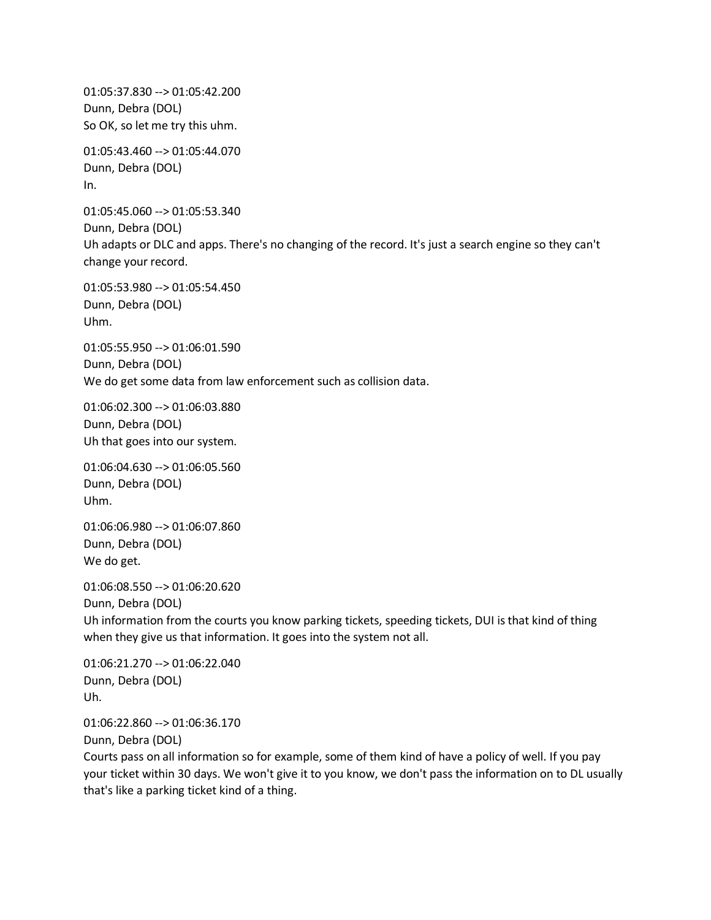01:05:37.830 --> 01:05:42.200 Dunn, Debra (DOL) So OK, so let me try this uhm.

01:05:43.460 --> 01:05:44.070 Dunn, Debra (DOL) In.

01:05:45.060 --> 01:05:53.340 Dunn, Debra (DOL) Uh adapts or DLC and apps. There's no changing of the record. It's just a search engine so they can't change your record.

01:05:53.980 --> 01:05:54.450 Dunn, Debra (DOL) Uhm.

01:05:55.950 --> 01:06:01.590 Dunn, Debra (DOL) We do get some data from law enforcement such as collision data.

01:06:02.300 --> 01:06:03.880 Dunn, Debra (DOL) Uh that goes into our system.

01:06:04.630 --> 01:06:05.560 Dunn, Debra (DOL) Uhm.

01:06:06.980 --> 01:06:07.860 Dunn, Debra (DOL) We do get.

01:06:08.550 --> 01:06:20.620 Dunn, Debra (DOL) Uh information from the courts you know parking tickets, speeding tickets, DUI is that kind of thing when they give us that information. It goes into the system not all.

01:06:21.270 --> 01:06:22.040 Dunn, Debra (DOL) Uh.

01:06:22.860 --> 01:06:36.170 Dunn, Debra (DOL)

Courts pass on all information so for example, some of them kind of have a policy of well. If you pay your ticket within 30 days. We won't give it to you know, we don't pass the information on to DL usually that's like a parking ticket kind of a thing.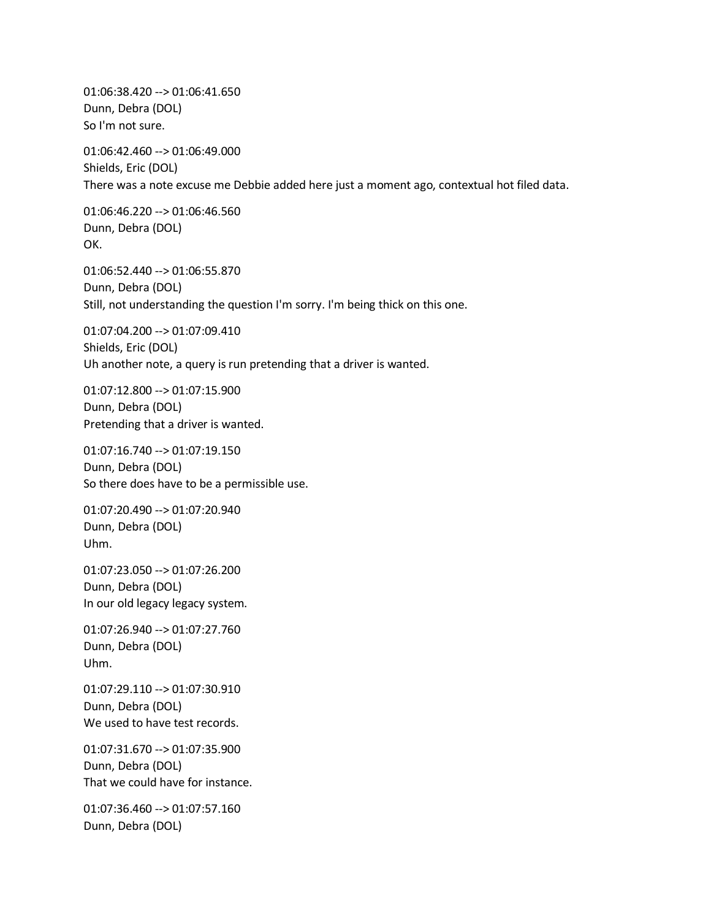01:06:38.420 --> 01:06:41.650 Dunn, Debra (DOL) So I'm not sure.

01:06:42.460 --> 01:06:49.000 Shields, Eric (DOL) There was a note excuse me Debbie added here just a moment ago, contextual hot filed data.

01:06:46.220 --> 01:06:46.560 Dunn, Debra (DOL) OK.

01:06:52.440 --> 01:06:55.870 Dunn, Debra (DOL) Still, not understanding the question I'm sorry. I'm being thick on this one.

01:07:04.200 --> 01:07:09.410 Shields, Eric (DOL) Uh another note, a query is run pretending that a driver is wanted.

01:07:12.800 --> 01:07:15.900 Dunn, Debra (DOL) Pretending that a driver is wanted.

01:07:16.740 --> 01:07:19.150 Dunn, Debra (DOL) So there does have to be a permissible use.

01:07:20.490 --> 01:07:20.940 Dunn, Debra (DOL) Uhm.

01:07:23.050 --> 01:07:26.200 Dunn, Debra (DOL) In our old legacy legacy system.

01:07:26.940 --> 01:07:27.760 Dunn, Debra (DOL) Uhm.

01:07:29.110 --> 01:07:30.910 Dunn, Debra (DOL) We used to have test records.

01:07:31.670 --> 01:07:35.900 Dunn, Debra (DOL) That we could have for instance.

01:07:36.460 --> 01:07:57.160 Dunn, Debra (DOL)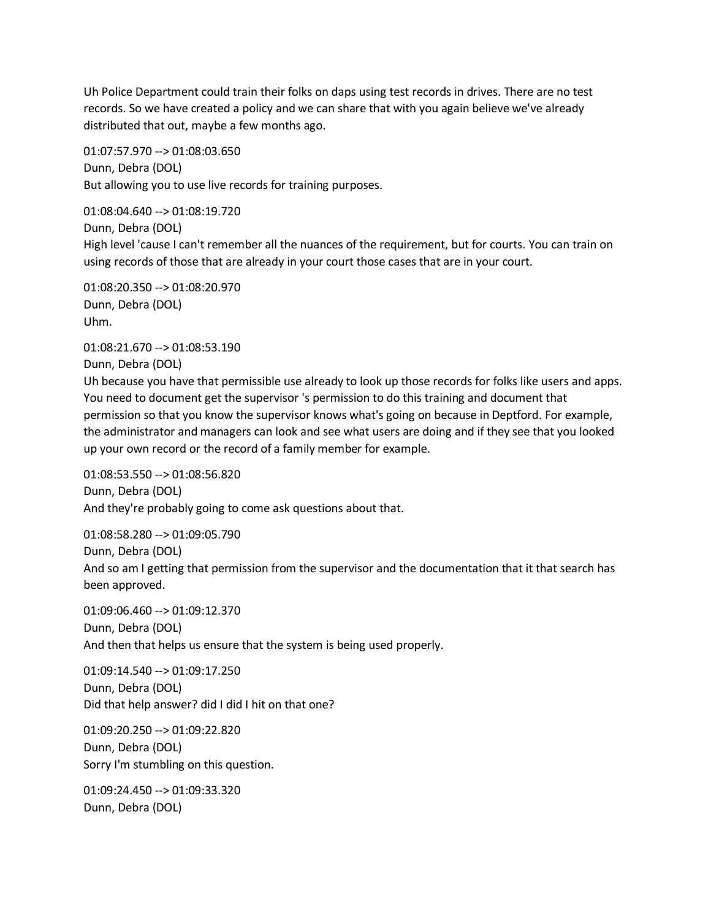Uh Police Department could train their folks on daps using test records in drives. There are no test records. So we have created a policy and we can share that with you again believe we've already distributed that out, maybe a few months ago.

01:07:57.970 --> 01:08:03.650 Dunn, Debra (DOL) But allowing you to use live records for training purposes.

01:08:04.640 --> 01:08:19.720 Dunn, Debra (DOL) High level 'cause I can't remember all the nuances of the requirement, but for courts. You can train on using records of those that are already in your court those cases that are in your court.

01:08:20.350 --> 01:08:20.970 Dunn, Debra (DOL) Uhm.

01:08:21.670 --> 01:08:53.190 Dunn, Debra (DOL)

Uh because you have that permissible use already to look up those records for folks like users and apps. You need to document get the supervisor 's permission to do this training and document that permission so that you know the supervisor knows what's going on because in Deptford. For example, the administrator and managers can look and see what users are doing and if they see that you looked up your own record or the record of a family member for example.

01:08:53.550 --> 01:08:56.820 Dunn, Debra (DOL) And they're probably going to come ask questions about that.

01:08:58.280 --> 01:09:05.790 Dunn, Debra (DOL) And so am I getting that permission from the supervisor and the documentation that it that search has been approved.

01:09:06.460 --> 01:09:12.370 Dunn, Debra (DOL) And then that helps us ensure that the system is being used properly.

01:09:14.540 --> 01:09:17.250 Dunn, Debra (DOL) Did that help answer? did I did I hit on that one?

01:09:20.250 --> 01:09:22.820 Dunn, Debra (DOL) Sorry I'm stumbling on this question.

01:09:24.450 --> 01:09:33.320 Dunn, Debra (DOL)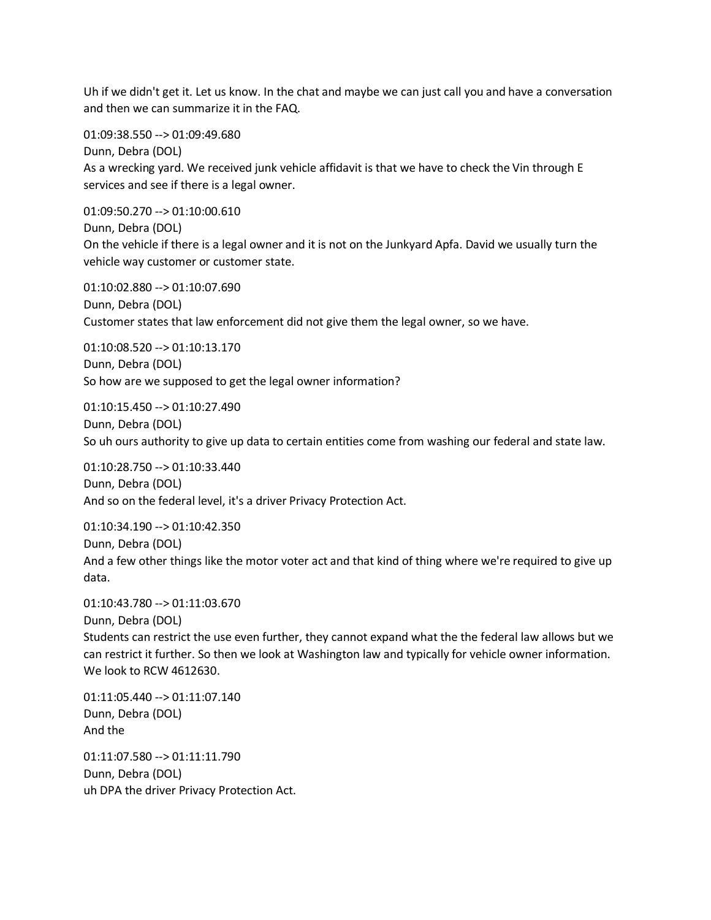Uh if we didn't get it. Let us know. In the chat and maybe we can just call you and have a conversation and then we can summarize it in the FAQ.

01:09:38.550 --> 01:09:49.680

Dunn, Debra (DOL) As a wrecking yard. We received junk vehicle affidavit is that we have to check the Vin through E services and see if there is a legal owner.

01:09:50.270 --> 01:10:00.610 Dunn, Debra (DOL) On the vehicle if there is a legal owner and it is not on the Junkyard Apfa. David we usually turn the vehicle way customer or customer state.

01:10:02.880 --> 01:10:07.690 Dunn, Debra (DOL) Customer states that law enforcement did not give them the legal owner, so we have.

01:10:08.520 --> 01:10:13.170 Dunn, Debra (DOL) So how are we supposed to get the legal owner information?

01:10:15.450 --> 01:10:27.490 Dunn, Debra (DOL) So uh ours authority to give up data to certain entities come from washing our federal and state law.

01:10:28.750 --> 01:10:33.440 Dunn, Debra (DOL) And so on the federal level, it's a driver Privacy Protection Act.

01:10:34.190 --> 01:10:42.350 Dunn, Debra (DOL) And a few other things like the motor voter act and that kind of thing where we're required to give up data.

01:10:43.780 --> 01:11:03.670

Dunn, Debra (DOL)

Students can restrict the use even further, they cannot expand what the the federal law allows but we can restrict it further. So then we look at Washington law and typically for vehicle owner information. We look to RCW 4612630.

01:11:05.440 --> 01:11:07.140 Dunn, Debra (DOL) And the

01:11:07.580 --> 01:11:11.790 Dunn, Debra (DOL) uh DPA the driver Privacy Protection Act.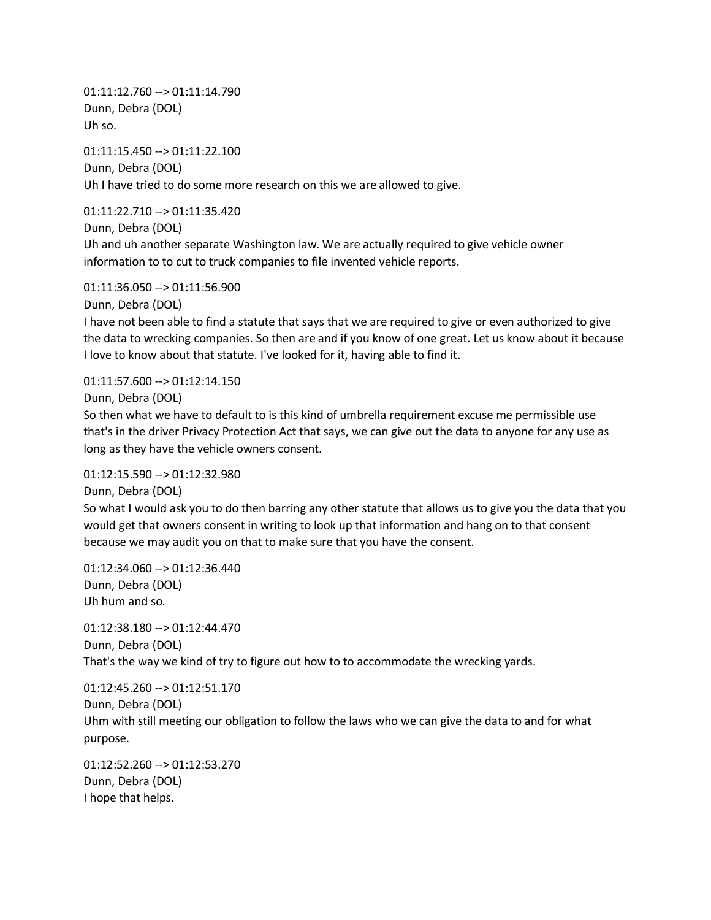01:11:12.760 --> 01:11:14.790 Dunn, Debra (DOL) Uh so.

01:11:15.450 --> 01:11:22.100 Dunn, Debra (DOL) Uh I have tried to do some more research on this we are allowed to give.

01:11:22.710 --> 01:11:35.420

Dunn, Debra (DOL)

Uh and uh another separate Washington law. We are actually required to give vehicle owner information to to cut to truck companies to file invented vehicle reports.

01:11:36.050 --> 01:11:56.900

Dunn, Debra (DOL)

I have not been able to find a statute that says that we are required to give or even authorized to give the data to wrecking companies. So then are and if you know of one great. Let us know about it because I love to know about that statute. I've looked for it, having able to find it.

01:11:57.600 --> 01:12:14.150

Dunn, Debra (DOL)

So then what we have to default to is this kind of umbrella requirement excuse me permissible use that's in the driver Privacy Protection Act that says, we can give out the data to anyone for any use as long as they have the vehicle owners consent.

01:12:15.590 --> 01:12:32.980

Dunn, Debra (DOL)

So what I would ask you to do then barring any other statute that allows us to give you the data that you would get that owners consent in writing to look up that information and hang on to that consent because we may audit you on that to make sure that you have the consent.

01:12:34.060 --> 01:12:36.440 Dunn, Debra (DOL) Uh hum and so.

01:12:38.180 --> 01:12:44.470 Dunn, Debra (DOL) That's the way we kind of try to figure out how to to accommodate the wrecking yards.

01:12:45.260 --> 01:12:51.170 Dunn, Debra (DOL) Uhm with still meeting our obligation to follow the laws who we can give the data to and for what purpose.

01:12:52.260 --> 01:12:53.270 Dunn, Debra (DOL) I hope that helps.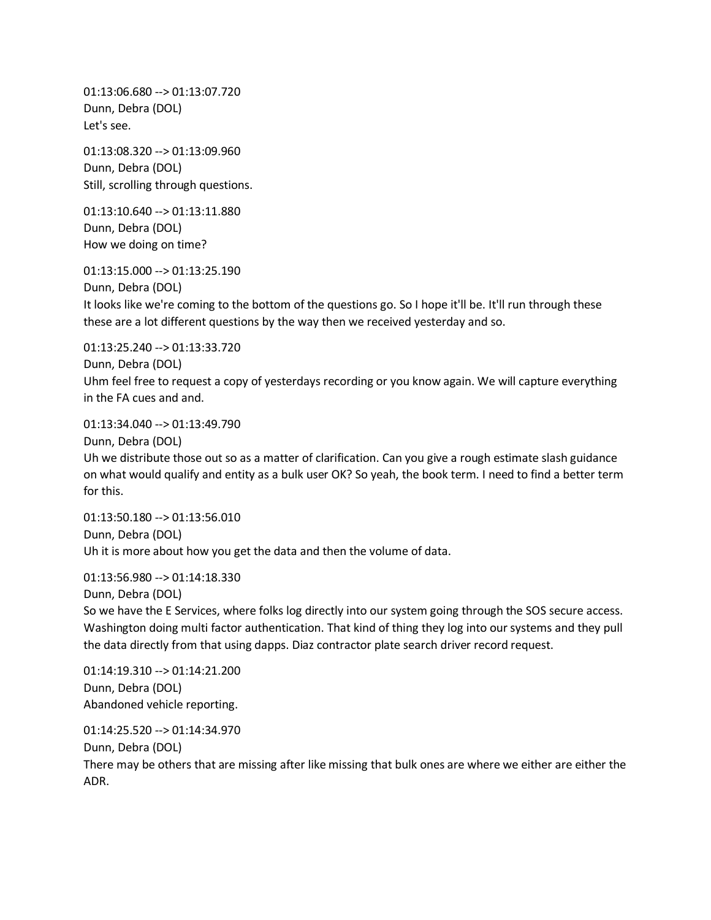01:13:06.680 --> 01:13:07.720 Dunn, Debra (DOL) Let's see.

01:13:08.320 --> 01:13:09.960 Dunn, Debra (DOL) Still, scrolling through questions.

01:13:10.640 --> 01:13:11.880 Dunn, Debra (DOL) How we doing on time?

01:13:15.000 --> 01:13:25.190

Dunn, Debra (DOL) It looks like we're coming to the bottom of the questions go. So I hope it'll be. It'll run through these these are a lot different questions by the way then we received yesterday and so.

01:13:25.240 --> 01:13:33.720 Dunn, Debra (DOL) Uhm feel free to request a copy of yesterdays recording or you know again. We will capture everything in the FA cues and and.

01:13:34.040 --> 01:13:49.790

Dunn, Debra (DOL) Uh we distribute those out so as a matter of clarification. Can you give a rough estimate slash guidance on what would qualify and entity as a bulk user OK? So yeah, the book term. I need to find a better term for this.

01:13:50.180 --> 01:13:56.010 Dunn, Debra (DOL) Uh it is more about how you get the data and then the volume of data.

01:13:56.980 --> 01:14:18.330

Dunn, Debra (DOL) So we have the E Services, where folks log directly into our system going through the SOS secure access. Washington doing multi factor authentication. That kind of thing they log into our systems and they pull the data directly from that using dapps. Diaz contractor plate search driver record request.

01:14:19.310 --> 01:14:21.200 Dunn, Debra (DOL) Abandoned vehicle reporting.

01:14:25.520 --> 01:14:34.970

Dunn, Debra (DOL)

There may be others that are missing after like missing that bulk ones are where we either are either the ADR.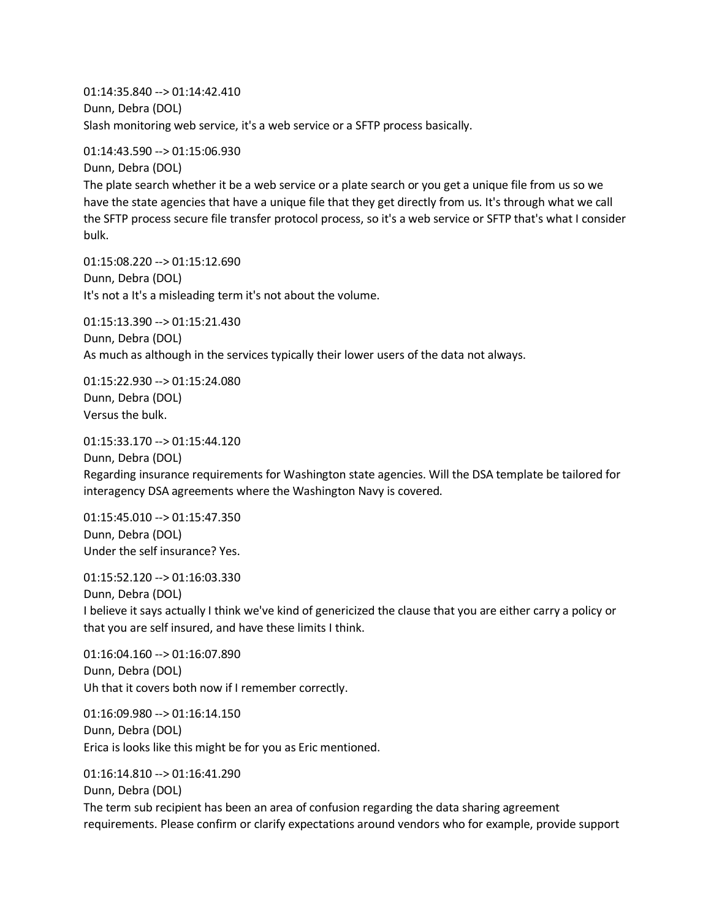01:14:35.840 --> 01:14:42.410 Dunn, Debra (DOL) Slash monitoring web service, it's a web service or a SFTP process basically.

01:14:43.590 --> 01:15:06.930

Dunn, Debra (DOL) The plate search whether it be a web service or a plate search or you get a unique file from us so we have the state agencies that have a unique file that they get directly from us. It's through what we call the SFTP process secure file transfer protocol process, so it's a web service or SFTP that's what I consider bulk.

01:15:08.220 --> 01:15:12.690 Dunn, Debra (DOL) It's not a It's a misleading term it's not about the volume.

01:15:13.390 --> 01:15:21.430 Dunn, Debra (DOL) As much as although in the services typically their lower users of the data not always.

01:15:22.930 --> 01:15:24.080 Dunn, Debra (DOL) Versus the bulk.

01:15:33.170 --> 01:15:44.120

Dunn, Debra (DOL) Regarding insurance requirements for Washington state agencies. Will the DSA template be tailored for interagency DSA agreements where the Washington Navy is covered.

01:15:45.010 --> 01:15:47.350 Dunn, Debra (DOL) Under the self insurance? Yes.

01:15:52.120 --> 01:16:03.330 Dunn, Debra (DOL) I believe it says actually I think we've kind of genericized the clause that you are either carry a policy or that you are self insured, and have these limits I think.

01:16:04.160 --> 01:16:07.890 Dunn, Debra (DOL) Uh that it covers both now if I remember correctly.

01:16:09.980 --> 01:16:14.150 Dunn, Debra (DOL) Erica is looks like this might be for you as Eric mentioned.

01:16:14.810 --> 01:16:41.290 Dunn, Debra (DOL) The term sub recipient has been an area of confusion regarding the data sharing agreement requirements. Please confirm or clarify expectations around vendors who for example, provide support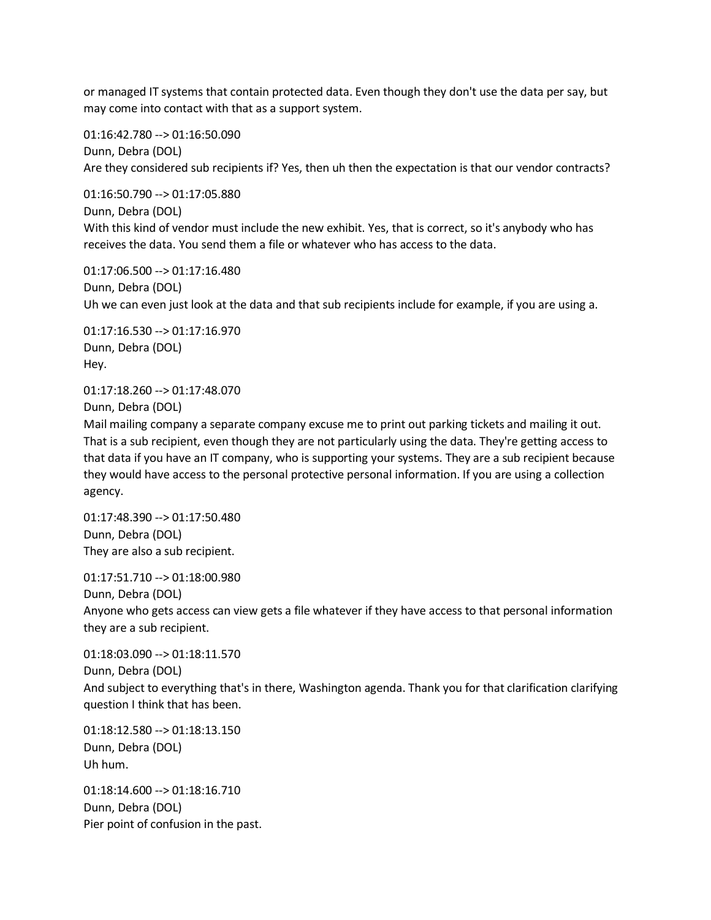or managed IT systems that contain protected data. Even though they don't use the data per say, but may come into contact with that as a support system.

01:16:42.780 --> 01:16:50.090 Dunn, Debra (DOL) Are they considered sub recipients if? Yes, then uh then the expectation is that our vendor contracts?

01:16:50.790 --> 01:17:05.880 Dunn, Debra (DOL) With this kind of vendor must include the new exhibit. Yes, that is correct, so it's anybody who has receives the data. You send them a file or whatever who has access to the data.

01:17:06.500 --> 01:17:16.480 Dunn, Debra (DOL) Uh we can even just look at the data and that sub recipients include for example, if you are using a.

01:17:16.530 --> 01:17:16.970 Dunn, Debra (DOL) Hey.

01:17:18.260 --> 01:17:48.070 Dunn, Debra (DOL)

Mail mailing company a separate company excuse me to print out parking tickets and mailing it out. That is a sub recipient, even though they are not particularly using the data. They're getting access to that data if you have an IT company, who is supporting your systems. They are a sub recipient because they would have access to the personal protective personal information. If you are using a collection agency.

01:17:48.390 --> 01:17:50.480 Dunn, Debra (DOL) They are also a sub recipient.

01:17:51.710 --> 01:18:00.980 Dunn, Debra (DOL) Anyone who gets access can view gets a file whatever if they have access to that personal information they are a sub recipient.

01:18:03.090 --> 01:18:11.570 Dunn, Debra (DOL) And subject to everything that's in there, Washington agenda. Thank you for that clarification clarifying question I think that has been.

01:18:12.580 --> 01:18:13.150 Dunn, Debra (DOL) Uh hum.

01:18:14.600 --> 01:18:16.710 Dunn, Debra (DOL) Pier point of confusion in the past.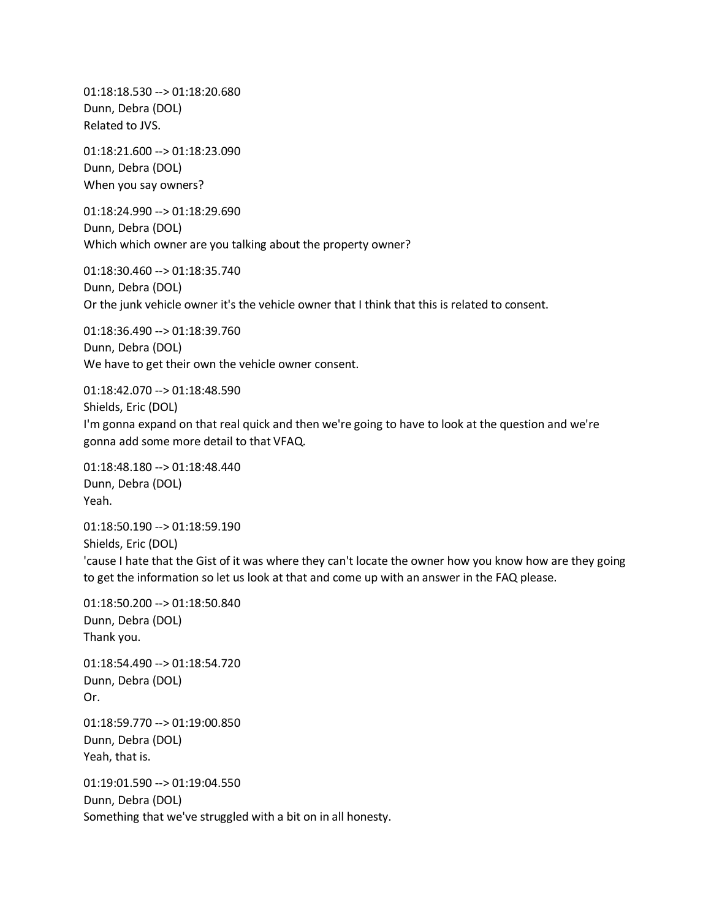01:18:18.530 --> 01:18:20.680 Dunn, Debra (DOL) Related to JVS.

01:18:21.600 --> 01:18:23.090 Dunn, Debra (DOL) When you say owners?

01:18:24.990 --> 01:18:29.690 Dunn, Debra (DOL) Which which owner are you talking about the property owner?

01:18:30.460 --> 01:18:35.740 Dunn, Debra (DOL) Or the junk vehicle owner it's the vehicle owner that I think that this is related to consent.

01:18:36.490 --> 01:18:39.760 Dunn, Debra (DOL) We have to get their own the vehicle owner consent.

01:18:42.070 --> 01:18:48.590 Shields, Eric (DOL) I'm gonna expand on that real quick and then we're going to have to look at the question and we're gonna add some more detail to that VFAQ.

01:18:48.180 --> 01:18:48.440 Dunn, Debra (DOL) Yeah.

01:18:50.190 --> 01:18:59.190 Shields, Eric (DOL) 'cause I hate that the Gist of it was where they can't locate the owner how you know how are they going to get the information so let us look at that and come up with an answer in the FAQ please.

01:18:50.200 --> 01:18:50.840 Dunn, Debra (DOL) Thank you. 01:18:54.490 --> 01:18:54.720 Dunn, Debra (DOL) Or. 01:18:59.770 --> 01:19:00.850 Dunn, Debra (DOL) Yeah, that is. 01:19:01.590 --> 01:19:04.550 Dunn, Debra (DOL) Something that we've struggled with a bit on in all honesty.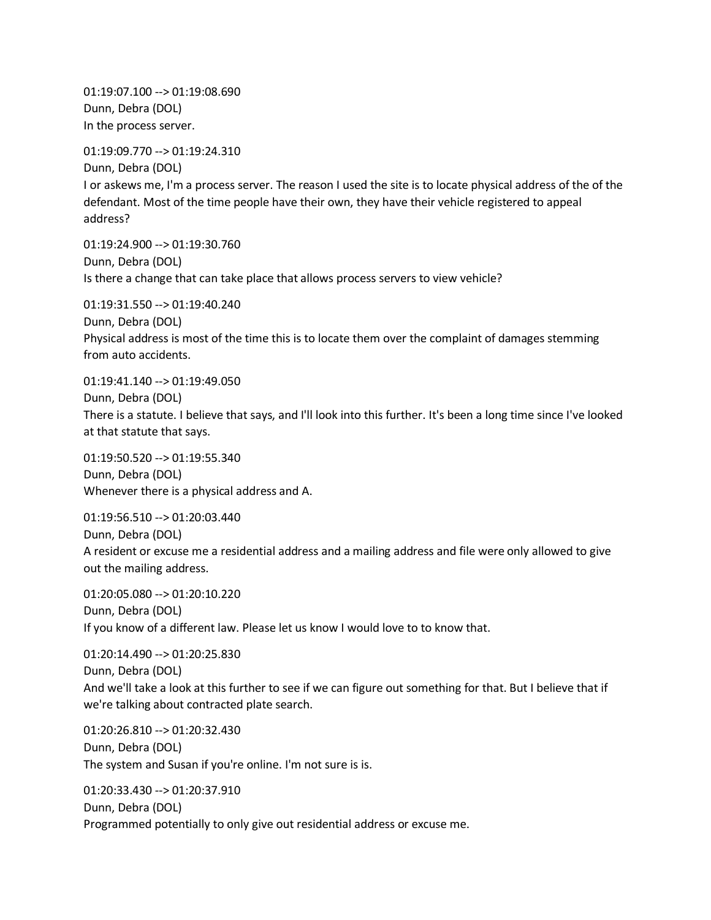01:19:07.100 --> 01:19:08.690 Dunn, Debra (DOL) In the process server.

01:19:09.770 --> 01:19:24.310

Dunn, Debra (DOL) I or askews me, I'm a process server. The reason I used the site is to locate physical address of the of the defendant. Most of the time people have their own, they have their vehicle registered to appeal address?

01:19:24.900 --> 01:19:30.760 Dunn, Debra (DOL) Is there a change that can take place that allows process servers to view vehicle?

01:19:31.550 --> 01:19:40.240 Dunn, Debra (DOL) Physical address is most of the time this is to locate them over the complaint of damages stemming from auto accidents.

01:19:41.140 --> 01:19:49.050 Dunn, Debra (DOL) There is a statute. I believe that says, and I'll look into this further. It's been a long time since I've looked at that statute that says.

01:19:50.520 --> 01:19:55.340 Dunn, Debra (DOL) Whenever there is a physical address and A.

01:19:56.510 --> 01:20:03.440 Dunn, Debra (DOL) A resident or excuse me a residential address and a mailing address and file were only allowed to give out the mailing address.

01:20:05.080 --> 01:20:10.220 Dunn, Debra (DOL) If you know of a different law. Please let us know I would love to to know that.

01:20:14.490 --> 01:20:25.830 Dunn, Debra (DOL) And we'll take a look at this further to see if we can figure out something for that. But I believe that if we're talking about contracted plate search.

01:20:26.810 --> 01:20:32.430 Dunn, Debra (DOL) The system and Susan if you're online. I'm not sure is is.

01:20:33.430 --> 01:20:37.910 Dunn, Debra (DOL) Programmed potentially to only give out residential address or excuse me.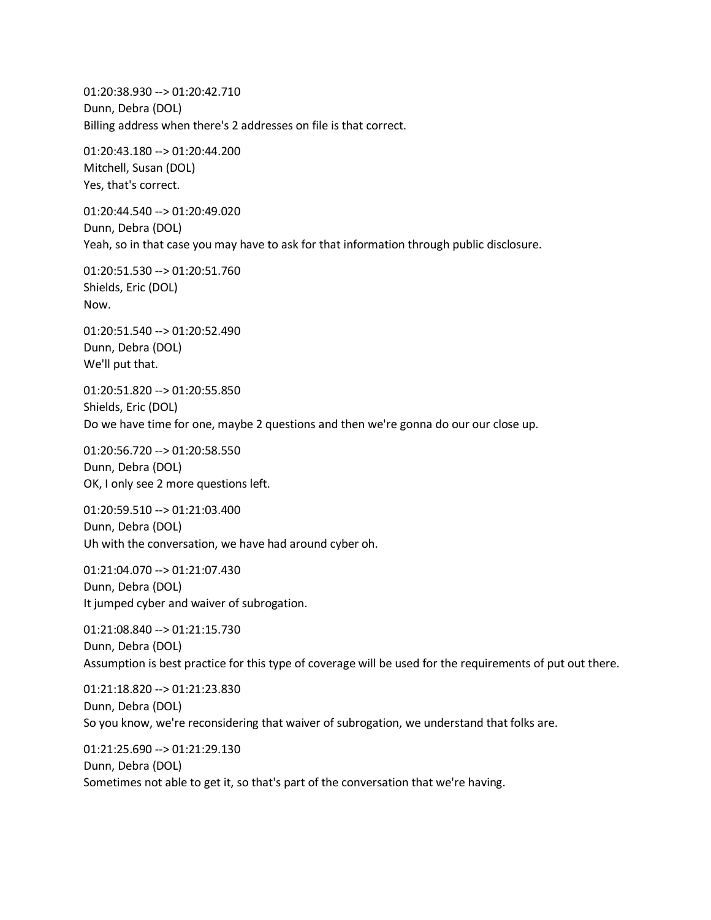01:20:38.930 --> 01:20:42.710 Dunn, Debra (DOL) Billing address when there's 2 addresses on file is that correct.

01:20:43.180 --> 01:20:44.200 Mitchell, Susan (DOL) Yes, that's correct.

01:20:44.540 --> 01:20:49.020 Dunn, Debra (DOL) Yeah, so in that case you may have to ask for that information through public disclosure.

01:20:51.530 --> 01:20:51.760 Shields, Eric (DOL) Now.

01:20:51.540 --> 01:20:52.490 Dunn, Debra (DOL) We'll put that.

01:20:51.820 --> 01:20:55.850 Shields, Eric (DOL) Do we have time for one, maybe 2 questions and then we're gonna do our our close up.

01:20:56.720 --> 01:20:58.550 Dunn, Debra (DOL) OK, I only see 2 more questions left.

01:20:59.510 --> 01:21:03.400 Dunn, Debra (DOL) Uh with the conversation, we have had around cyber oh.

01:21:04.070 --> 01:21:07.430 Dunn, Debra (DOL) It jumped cyber and waiver of subrogation.

01:21:08.840 --> 01:21:15.730 Dunn, Debra (DOL) Assumption is best practice for this type of coverage will be used for the requirements of put out there.

01:21:18.820 --> 01:21:23.830 Dunn, Debra (DOL) So you know, we're reconsidering that waiver of subrogation, we understand that folks are.

01:21:25.690 --> 01:21:29.130 Dunn, Debra (DOL) Sometimes not able to get it, so that's part of the conversation that we're having.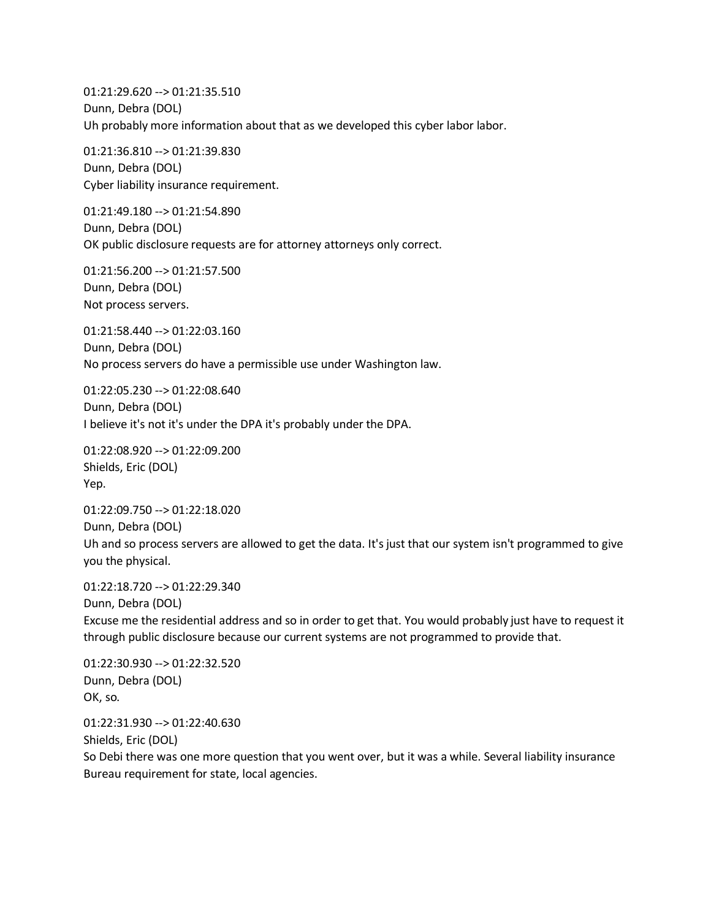01:21:29.620 --> 01:21:35.510 Dunn, Debra (DOL) Uh probably more information about that as we developed this cyber labor labor.

01:21:36.810 --> 01:21:39.830 Dunn, Debra (DOL) Cyber liability insurance requirement.

01:21:49.180 --> 01:21:54.890 Dunn, Debra (DOL) OK public disclosure requests are for attorney attorneys only correct.

01:21:56.200 --> 01:21:57.500 Dunn, Debra (DOL) Not process servers.

01:21:58.440 --> 01:22:03.160 Dunn, Debra (DOL) No process servers do have a permissible use under Washington law.

01:22:05.230 --> 01:22:08.640 Dunn, Debra (DOL) I believe it's not it's under the DPA it's probably under the DPA.

01:22:08.920 --> 01:22:09.200 Shields, Eric (DOL) Yep.

01:22:09.750 --> 01:22:18.020 Dunn, Debra (DOL) Uh and so process servers are allowed to get the data. It's just that our system isn't programmed to give you the physical.

01:22:18.720 --> 01:22:29.340 Dunn, Debra (DOL) Excuse me the residential address and so in order to get that. You would probably just have to request it through public disclosure because our current systems are not programmed to provide that.

01:22:30.930 --> 01:22:32.520 Dunn, Debra (DOL) OK, so.

01:22:31.930 --> 01:22:40.630 Shields, Eric (DOL) So Debi there was one more question that you went over, but it was a while. Several liability insurance Bureau requirement for state, local agencies.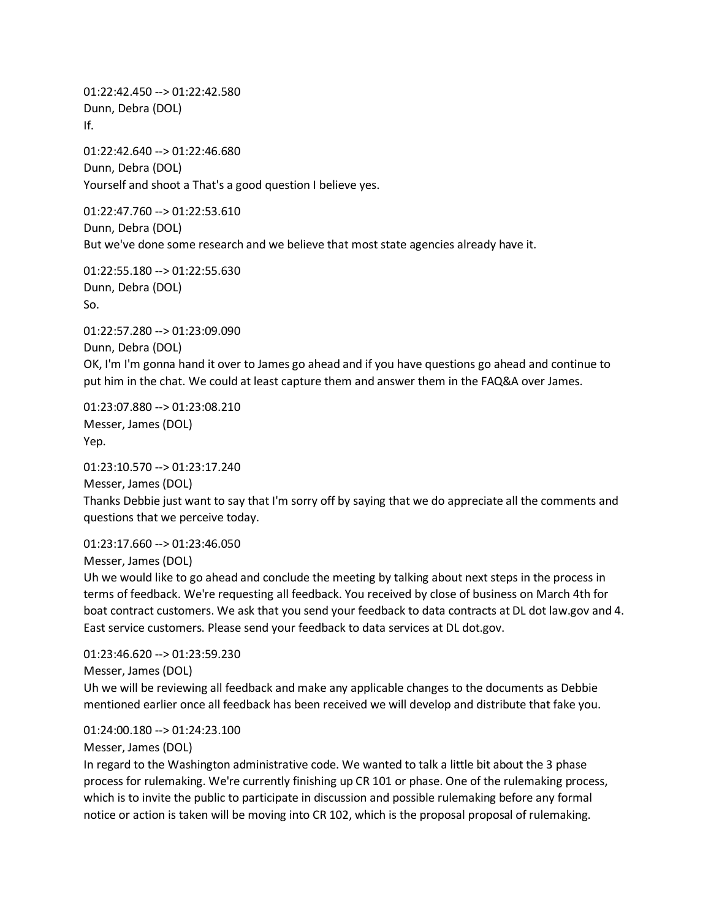01:22:42.450 --> 01:22:42.580 Dunn, Debra (DOL) If.

01:22:42.640 --> 01:22:46.680 Dunn, Debra (DOL) Yourself and shoot a That's a good question I believe yes.

01:22:47.760 --> 01:22:53.610 Dunn, Debra (DOL) But we've done some research and we believe that most state agencies already have it.

01:22:55.180 --> 01:22:55.630 Dunn, Debra (DOL) So.

01:22:57.280 --> 01:23:09.090 Dunn, Debra (DOL) OK, I'm I'm gonna hand it over to James go ahead and if you have questions go ahead and continue to put him in the chat. We could at least capture them and answer them in the FAQ&A over James.

01:23:07.880 --> 01:23:08.210 Messer, James (DOL) Yep.

01:23:10.570 --> 01:23:17.240 Messer, James (DOL) Thanks Debbie just want to say that I'm sorry off by saying that we do appreciate all the comments and questions that we perceive today.

01:23:17.660 --> 01:23:46.050 Messer, James (DOL)

Uh we would like to go ahead and conclude the meeting by talking about next steps in the process in terms of feedback. We're requesting all feedback. You received by close of business on March 4th for boat contract customers. We ask that you send your feedback to data contracts at DL dot law.gov and 4. East service customers. Please send your feedback to data services at DL dot.gov.

01:23:46.620 --> 01:23:59.230

Messer, James (DOL)

Uh we will be reviewing all feedback and make any applicable changes to the documents as Debbie mentioned earlier once all feedback has been received we will develop and distribute that fake you.

01:24:00.180 --> 01:24:23.100

Messer, James (DOL)

In regard to the Washington administrative code. We wanted to talk a little bit about the 3 phase process for rulemaking. We're currently finishing up CR 101 or phase. One of the rulemaking process, which is to invite the public to participate in discussion and possible rulemaking before any formal notice or action is taken will be moving into CR 102, which is the proposal proposal of rulemaking.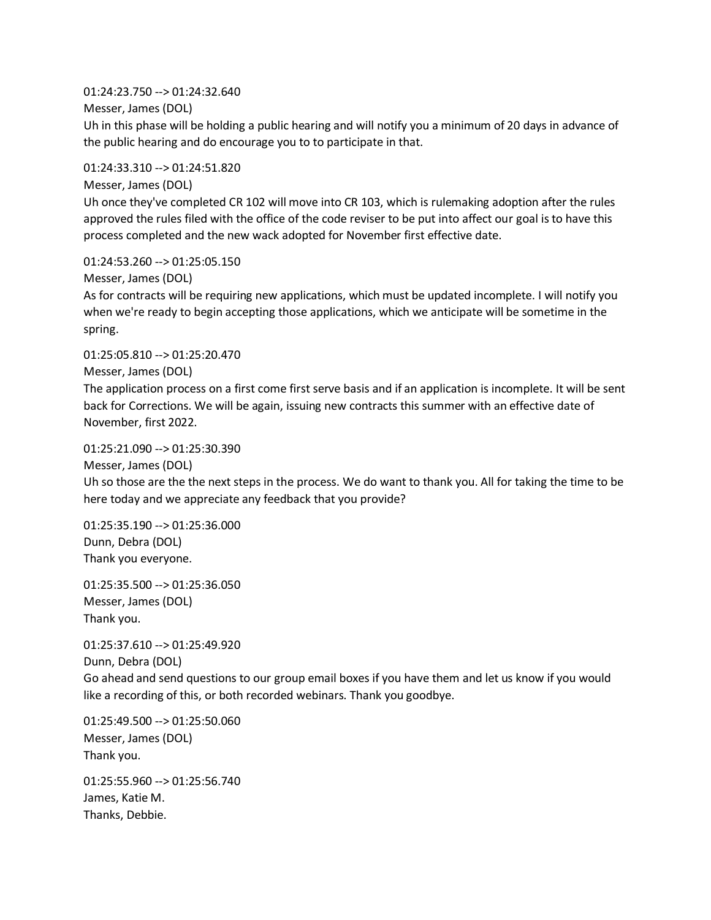01:24:23.750 --> 01:24:32.640

Messer, James (DOL)

Uh in this phase will be holding a public hearing and will notify you a minimum of 20 days in advance of the public hearing and do encourage you to to participate in that.

01:24:33.310 --> 01:24:51.820

Messer, James (DOL)

Uh once they've completed CR 102 will move into CR 103, which is rulemaking adoption after the rules approved the rules filed with the office of the code reviser to be put into affect our goal is to have this process completed and the new wack adopted for November first effective date.

01:24:53.260 --> 01:25:05.150

Messer, James (DOL)

As for contracts will be requiring new applications, which must be updated incomplete. I will notify you when we're ready to begin accepting those applications, which we anticipate will be sometime in the spring.

01:25:05.810 --> 01:25:20.470 Messer, James (DOL)

The application process on a first come first serve basis and if an application is incomplete. It will be sent back for Corrections. We will be again, issuing new contracts this summer with an effective date of November, first 2022.

01:25:21.090 --> 01:25:30.390

Messer, James (DOL)

Uh so those are the the next steps in the process. We do want to thank you. All for taking the time to be here today and we appreciate any feedback that you provide?

01:25:35.190 --> 01:25:36.000 Dunn, Debra (DOL) Thank you everyone.

01:25:35.500 --> 01:25:36.050 Messer, James (DOL) Thank you.

01:25:37.610 --> 01:25:49.920 Dunn, Debra (DOL) Go ahead and send questions to our group email boxes if you have them and let us know if you would like a recording of this, or both recorded webinars. Thank you goodbye.

01:25:49.500 --> 01:25:50.060 Messer, James (DOL) Thank you.

01:25:55.960 --> 01:25:56.740 James, Katie M. Thanks, Debbie.